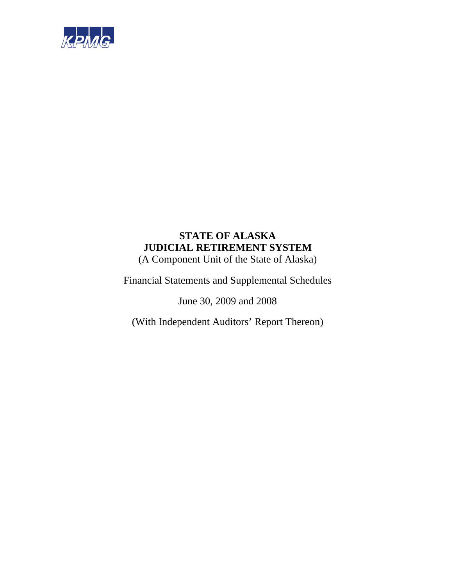

(A Component Unit of the State of Alaska)

Financial Statements and Supplemental Schedules

June 30, 2009 and 2008

(With Independent Auditors' Report Thereon)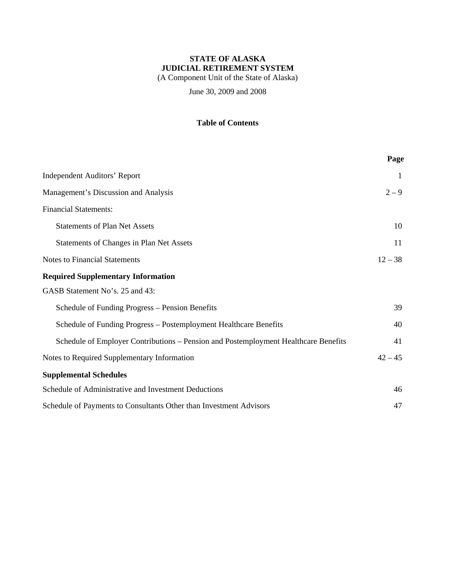(A Component Unit of the State of Alaska)

June 30, 2009 and 2008

### **Table of Contents**

|                                                                                     | Page      |
|-------------------------------------------------------------------------------------|-----------|
| <b>Independent Auditors' Report</b>                                                 | 1         |
| Management's Discussion and Analysis                                                | $2 - 9$   |
| <b>Financial Statements:</b>                                                        |           |
| <b>Statements of Plan Net Assets</b>                                                | 10        |
| Statements of Changes in Plan Net Assets                                            | 11        |
| <b>Notes to Financial Statements</b>                                                | $12 - 38$ |
| <b>Required Supplementary Information</b>                                           |           |
| GASB Statement No's. 25 and 43:                                                     |           |
| Schedule of Funding Progress – Pension Benefits                                     | 39        |
| Schedule of Funding Progress - Postemployment Healthcare Benefits                   | 40        |
| Schedule of Employer Contributions – Pension and Postemployment Healthcare Benefits | 41        |
| Notes to Required Supplementary Information                                         | $42 - 45$ |
| <b>Supplemental Schedules</b>                                                       |           |
| Schedule of Administrative and Investment Deductions                                | 46        |
| Schedule of Payments to Consultants Other than Investment Advisors                  | 47        |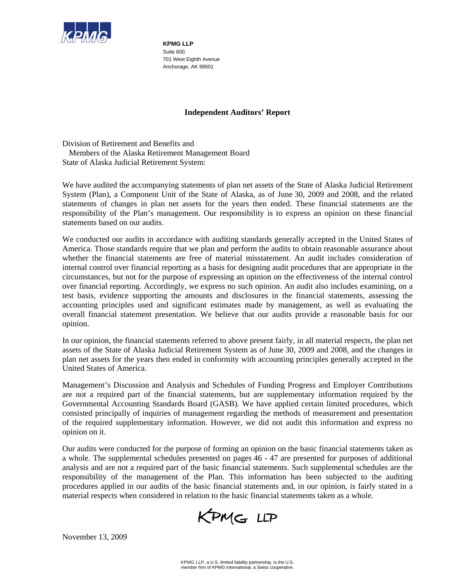

**KPMG LLP**  Suite 600 701 West Eighth Avenue Anchorage, AK 99501

### **Independent Auditors' Report**

Division of Retirement and Benefits and Members of the Alaska Retirement Management Board State of Alaska Judicial Retirement System:

We have audited the accompanying statements of plan net assets of the State of Alaska Judicial Retirement System (Plan), a Component Unit of the State of Alaska, as of June 30, 2009 and 2008, and the related statements of changes in plan net assets for the years then ended. These financial statements are the responsibility of the Plan's management. Our responsibility is to express an opinion on these financial statements based on our audits.

We conducted our audits in accordance with auditing standards generally accepted in the United States of America. Those standards require that we plan and perform the audits to obtain reasonable assurance about whether the financial statements are free of material misstatement. An audit includes consideration of internal control over financial reporting as a basis for designing audit procedures that are appropriate in the circumstances, but not for the purpose of expressing an opinion on the effectiveness of the internal control over financial reporting. Accordingly, we express no such opinion. An audit also includes examining, on a test basis, evidence supporting the amounts and disclosures in the financial statements, assessing the accounting principles used and significant estimates made by management, as well as evaluating the overall financial statement presentation. We believe that our audits provide a reasonable basis for our opinion.

In our opinion, the financial statements referred to above present fairly, in all material respects, the plan net assets of the State of Alaska Judicial Retirement System as of June 30, 2009 and 2008, and the changes in plan net assets for the years then ended in conformity with accounting principles generally accepted in the United States of America.

Management's Discussion and Analysis and Schedules of Funding Progress and Employer Contributions are not a required part of the financial statements, but are supplementary information required by the Governmental Accounting Standards Board (GASB). We have applied certain limited procedures, which consisted principally of inquiries of management regarding the methods of measurement and presentation of the required supplementary information. However, we did not audit this information and express no opinion on it.

Our audits were conducted for the purpose of forming an opinion on the basic financial statements taken as a whole. The supplemental schedules presented on pages 46 - 47 are presented for purposes of additional analysis and are not a required part of the basic financial statements. Such supplemental schedules are the responsibility of the management of the Plan. This information has been subjected to the auditing procedures applied in our audits of the basic financial statements and, in our opinion, is fairly stated in a material respects when considered in relation to the basic financial statements taken as a whole.

KPMG LLP

November 13, 2009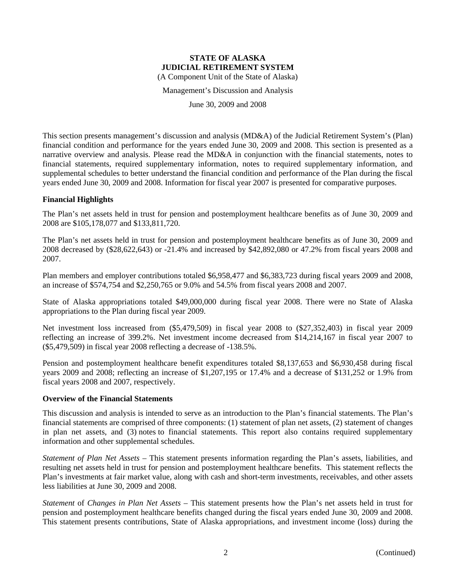Management's Discussion and Analysis

June 30, 2009 and 2008

This section presents management's discussion and analysis (MD&A) of the Judicial Retirement System's (Plan) financial condition and performance for the years ended June 30, 2009 and 2008. This section is presented as a narrative overview and analysis. Please read the MD&A in conjunction with the financial statements, notes to financial statements, required supplementary information, notes to required supplementary information, and supplemental schedules to better understand the financial condition and performance of the Plan during the fiscal years ended June 30, 2009 and 2008. Information for fiscal year 2007 is presented for comparative purposes.

#### **Financial Highlights**

The Plan's net assets held in trust for pension and postemployment healthcare benefits as of June 30, 2009 and 2008 are \$105,178,077 and \$133,811,720.

The Plan's net assets held in trust for pension and postemployment healthcare benefits as of June 30, 2009 and 2008 decreased by (\$28,622,643) or -21.4% and increased by \$42,892,080 or 47.2% from fiscal years 2008 and 2007.

Plan members and employer contributions totaled \$6,958,477 and \$6,383,723 during fiscal years 2009 and 2008, an increase of \$574,754 and \$2,250,765 or 9.0% and 54.5% from fiscal years 2008 and 2007.

State of Alaska appropriations totaled \$49,000,000 during fiscal year 2008. There were no State of Alaska appropriations to the Plan during fiscal year 2009.

Net investment loss increased from (\$5,479,509) in fiscal year 2008 to (\$27,352,403) in fiscal year 2009 reflecting an increase of 399.2%. Net investment income decreased from \$14,214,167 in fiscal year 2007 to (\$5,479,509) in fiscal year 2008 reflecting a decrease of -138.5%.

Pension and postemployment healthcare benefit expenditures totaled \$8,137,653 and \$6,930,458 during fiscal years 2009 and 2008; reflecting an increase of \$1,207,195 or 17.4% and a decrease of \$131,252 or 1.9% from fiscal years 2008 and 2007, respectively.

#### **Overview of the Financial Statements**

This discussion and analysis is intended to serve as an introduction to the Plan's financial statements. The Plan's financial statements are comprised of three components: (1) statement of plan net assets, (2) statement of changes in plan net assets, and (3) notes to financial statements. This report also contains required supplementary information and other supplemental schedules.

*Statement of Plan Net Assets* – This statement presents information regarding the Plan's assets, liabilities, and resulting net assets held in trust for pension and postemployment healthcare benefits. This statement reflects the Plan's investments at fair market value, along with cash and short-term investments, receivables, and other assets less liabilities at June 30, 2009 and 2008.

*Statement* of *Changes in Plan Net Assets* – This statement presents how the Plan's net assets held in trust for pension and postemployment healthcare benefits changed during the fiscal years ended June 30, 2009 and 2008. This statement presents contributions, State of Alaska appropriations, and investment income (loss) during the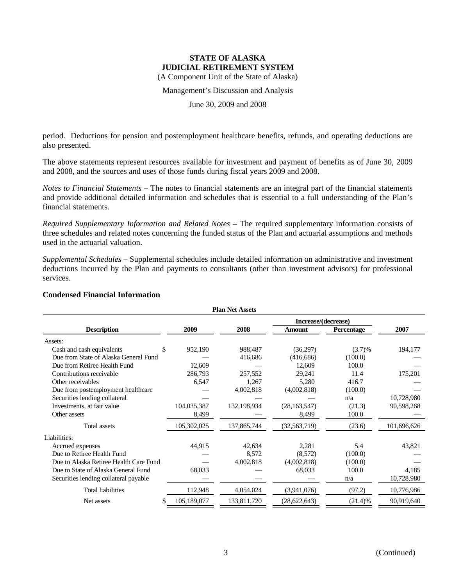(A Component Unit of the State of Alaska)

Management's Discussion and Analysis

June 30, 2009 and 2008

period. Deductions for pension and postemployment healthcare benefits, refunds, and operating deductions are also presented.

The above statements represent resources available for investment and payment of benefits as of June 30, 2009 and 2008, and the sources and uses of those funds during fiscal years 2009 and 2008.

*Notes to Financial Statements* – The notes to financial statements are an integral part of the financial statements and provide additional detailed information and schedules that is essential to a full understanding of the Plan's financial statements.

*Required Supplementary Information and Related Notes* – The required supplementary information consists of three schedules and related notes concerning the funded status of the Plan and actuarial assumptions and methods used in the actuarial valuation.

*Supplemental Schedules* – Supplemental schedules include detailed information on administrative and investment deductions incurred by the Plan and payments to consultants (other than investment advisors) for professional services.

| <b>Plan Net Assets</b>                 |             |             |                |            |             |  |  |  |
|----------------------------------------|-------------|-------------|----------------|------------|-------------|--|--|--|
| Increase/(decrease)                    |             |             |                |            |             |  |  |  |
| <b>Description</b>                     | 2009        | 2008        | Amount         | Percentage | 2007        |  |  |  |
| Assets:                                |             |             |                |            |             |  |  |  |
| Cash and cash equivalents<br>\$        | 952,190     | 988,487     | (36,297)       | (3.7)%     | 194,177     |  |  |  |
| Due from State of Alaska General Fund  |             | 416,686     | (416,686)      | (100.0)    |             |  |  |  |
| Due from Retiree Health Fund           | 12,609      |             | 12,609         | 100.0      |             |  |  |  |
| Contributions receivable               | 286,793     | 257,552     | 29,241         | 11.4       | 175,201     |  |  |  |
| Other receivables                      | 6,547       | 1,267       | 5,280          | 416.7      |             |  |  |  |
| Due from postemployment healthcare     |             | 4,002,818   | (4,002,818)    | (100.0)    |             |  |  |  |
| Securities lending collateral          |             |             |                | n/a        | 10,728,980  |  |  |  |
| Investments, at fair value             | 104,035,387 | 132,198,934 | (28, 163, 547) | (21.3)     | 90,598,268  |  |  |  |
| Other assets                           | 8,499       |             | 8,499          | 100.0      |             |  |  |  |
| Total assets                           | 105,302,025 | 137,865,744 | (32, 563, 719) | (23.6)     | 101,696,626 |  |  |  |
| Liabilities:                           |             |             |                |            |             |  |  |  |
| Accrued expenses                       | 44,915      | 42,634      | 2,281          | 5.4        | 43,821      |  |  |  |
| Due to Retiree Health Fund             |             | 8,572       | (8,572)        | (100.0)    |             |  |  |  |
| Due to Alaska Retiree Health Care Fund |             | 4,002,818   | (4,002,818)    | (100.0)    |             |  |  |  |
| Due to State of Alaska General Fund    | 68,033      |             | 68,033         | 100.0      | 4,185       |  |  |  |
| Securities lending collateral payable  |             |             |                | n/a        | 10,728,980  |  |  |  |
| <b>Total liabilities</b>               | 112,948     | 4,054,024   | (3,941,076)    | (97.2)     | 10,776,986  |  |  |  |
| Net assets                             | 105,189,077 | 133,811,720 | (28, 622, 643) | (21.4)%    | 90,919,640  |  |  |  |
|                                        |             |             |                |            |             |  |  |  |

#### **Condensed Financial Information**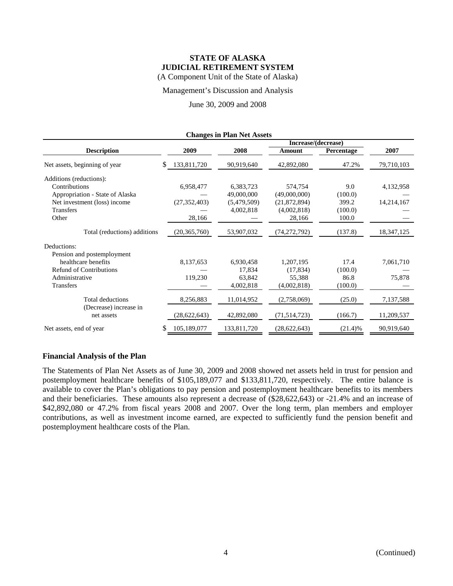Management's Discussion and Analysis

### June 30, 2009 and 2008

| <b>Changes in Plan Net Assets</b>                                                                                                        |                                       |                                                     |                                                                  |                                             |                         |  |  |  |  |
|------------------------------------------------------------------------------------------------------------------------------------------|---------------------------------------|-----------------------------------------------------|------------------------------------------------------------------|---------------------------------------------|-------------------------|--|--|--|--|
|                                                                                                                                          |                                       |                                                     | Increase/(decrease)                                              |                                             |                         |  |  |  |  |
| <b>Description</b>                                                                                                                       | 2009                                  | 2008                                                | Amount                                                           | Percentage                                  | 2007                    |  |  |  |  |
| Net assets, beginning of year                                                                                                            | \$<br>133,811,720                     | 90,919,640                                          | 42,892,080                                                       | 47.2%                                       | 79,710,103              |  |  |  |  |
| Additions (reductions):<br>Contributions<br>Appropriation - State of Alaska<br>Net investment (loss) income<br><b>Transfers</b><br>Other | 6,958,477<br>(27, 352, 403)<br>28,166 | 6,383,723<br>49,000,000<br>(5,479,509)<br>4,002,818 | 574,754<br>(49,000,000)<br>(21,872,894)<br>(4,002,818)<br>28,166 | 9.0<br>(100.0)<br>399.2<br>(100.0)<br>100.0 | 4,132,958<br>14,214,167 |  |  |  |  |
| Total (reductions) additions                                                                                                             | (20, 365, 760)                        | 53,907,032                                          | (74, 272, 792)                                                   | (137.8)                                     | 18, 347, 125            |  |  |  |  |
| Deductions:<br>Pension and postemployment<br>healthcare benefits<br><b>Refund of Contributions</b><br>Administrative<br><b>Transfers</b> | 8,137,653<br>119,230                  | 6,930,458<br>17,834<br>63,842<br>4,002,818          | 1,207,195<br>(17, 834)<br>55,388<br>(4,002,818)                  | 17.4<br>(100.0)<br>86.8<br>(100.0)          | 7,061,710<br>75,878     |  |  |  |  |
| <b>Total deductions</b><br>(Decrease) increase in<br>net assets                                                                          | 8,256,883<br>(28, 622, 643)           | 11,014,952<br>42,892,080                            | (2,758,069)<br>(71, 514, 723)                                    | (25.0)<br>(166.7)                           | 7,137,588<br>11,209,537 |  |  |  |  |
| Net assets, end of year                                                                                                                  | \$<br>105,189,077                     | 133,811,720                                         | (28, 622, 643)                                                   | (21.4)%                                     | 90,919,640              |  |  |  |  |

#### **Financial Analysis of the Plan**

The Statements of Plan Net Assets as of June 30, 2009 and 2008 showed net assets held in trust for pension and postemployment healthcare benefits of \$105,189,077 and \$133,811,720, respectively. The entire balance is available to cover the Plan's obligations to pay pension and postemployment healthcare benefits to its members and their beneficiaries. These amounts also represent a decrease of (\$28,622,643) or -21.4% and an increase of \$42,892,080 or 47.2% from fiscal years 2008 and 2007. Over the long term, plan members and employer contributions, as well as investment income earned, are expected to sufficiently fund the pension benefit and postemployment healthcare costs of the Plan.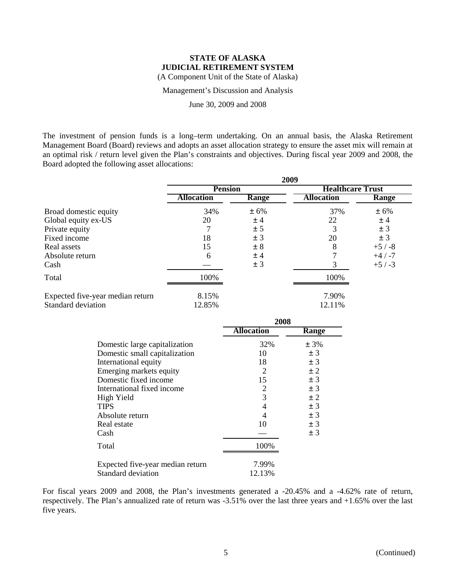Management's Discussion and Analysis

June 30, 2009 and 2008

The investment of pension funds is a long–term undertaking. On an annual basis, the Alaska Retirement Management Board (Board) reviews and adopts an asset allocation strategy to ensure the asset mix will remain at an optimal risk / return level given the Plan's constraints and objectives. During fiscal year 2009 and 2008, the Board adopted the following asset allocations:

|                                  | 2009              |       |                         |          |  |  |
|----------------------------------|-------------------|-------|-------------------------|----------|--|--|
|                                  | <b>Pension</b>    |       | <b>Healthcare Trust</b> |          |  |  |
|                                  | <b>Allocation</b> | Range | <b>Allocation</b>       | Range    |  |  |
| Broad domestic equity            | 34%               | ± 6%  | 37%                     | ± 6%     |  |  |
| Global equity ex-US              | 20                | ±4    | 22                      | ±4       |  |  |
| Private equity                   |                   | ± 5   | 3                       | ± 3      |  |  |
| Fixed income                     | 18                | ± 3   | 20                      | ± 3      |  |  |
| Real assets                      | 15                | ± 8   | 8                       | $+5/ -8$ |  |  |
| Absolute return                  | 6                 | ±4    |                         | $+4/ -7$ |  |  |
| Cash                             |                   | ± 3   | 3                       | $+5/ -3$ |  |  |
| Total                            | 100%              |       | 100%                    |          |  |  |
| Expected five-year median return | 8.15%             |       | 7.90%                   |          |  |  |
| Standard deviation               | 12.85%            |       | 12.11%                  |          |  |  |

|                                  | 2008              |         |  |
|----------------------------------|-------------------|---------|--|
|                                  | <b>Allocation</b> | Range   |  |
| Domestic large capitalization    | 32%               | ± 3%    |  |
| Domestic small capitalization    | 10                | ±3      |  |
| International equity             | 18                | ± 3     |  |
| Emerging markets equity          | 2                 | $\pm$ 2 |  |
| Domestic fixed income            | 15                | ± 3     |  |
| International fixed income       | 2                 | ± 3     |  |
| High Yield                       | 3                 | ± 2     |  |
| <b>TIPS</b>                      | 4                 | ±3      |  |
| Absolute return                  | 4                 | ± 3     |  |
| Real estate                      | 10                | ± 3     |  |
| Cash                             |                   | ± 3     |  |
| Total                            | 100\%             |         |  |
| Expected five-year median return | 7.99%             |         |  |
| Standard deviation               | 12.13%            |         |  |

For fiscal years 2009 and 2008, the Plan's investments generated a -20.45% and a -4.62% rate of return, respectively. The Plan's annualized rate of return was -3.51% over the last three years and +1.65% over the last five years.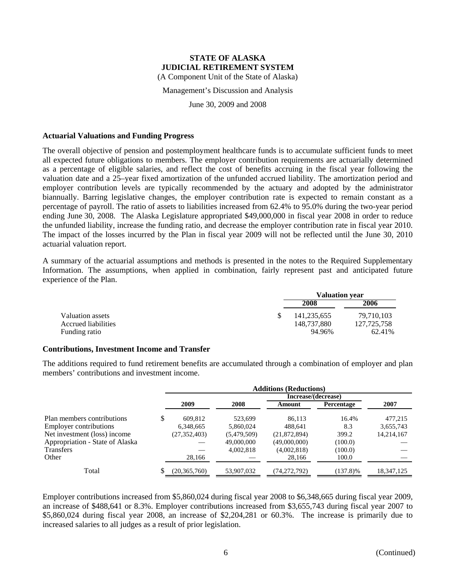(A Component Unit of the State of Alaska)

Management's Discussion and Analysis

June 30, 2009 and 2008

#### **Actuarial Valuations and Funding Progress**

The overall objective of pension and postemployment healthcare funds is to accumulate sufficient funds to meet all expected future obligations to members. The employer contribution requirements are actuarially determined as a percentage of eligible salaries, and reflect the cost of benefits accruing in the fiscal year following the valuation date and a 25–year fixed amortization of the unfunded accrued liability. The amortization period and employer contribution levels are typically recommended by the actuary and adopted by the administrator biannually. Barring legislative changes, the employer contribution rate is expected to remain constant as a percentage of payroll. The ratio of assets to liabilities increased from 62.4% to 95.0% during the two-year period ending June 30, 2008. The Alaska Legislature appropriated \$49,000,000 in fiscal year 2008 in order to reduce the unfunded liability, increase the funding ratio, and decrease the employer contribution rate in fiscal year 2010. The impact of the losses incurred by the Plan in fiscal year 2009 will not be reflected until the June 30, 2010 actuarial valuation report.

A summary of the actuarial assumptions and methods is presented in the notes to the Required Supplementary Information. The assumptions, when applied in combination, fairly represent past and anticipated future experience of the Plan.

|                     | <b>Valuation year</b> |               |  |
|---------------------|-----------------------|---------------|--|
|                     | 2008                  | 2006          |  |
| Valuation assets    | 141.235.655           | 79.710.103    |  |
| Accrued liabilities | 148,737,880           | 127, 725, 758 |  |
| Funding ratio       | 94.96%                | 62.41%        |  |

#### **Contributions, Investment Income and Transfer**

The additions required to fund retirement benefits are accumulated through a combination of employer and plan members' contributions and investment income.

|                                 | <b>Additions (Reductions)</b> |                |             |                     |             |            |  |  |
|---------------------------------|-------------------------------|----------------|-------------|---------------------|-------------|------------|--|--|
|                                 |                               |                |             | Increase/(decrease) |             |            |  |  |
|                                 |                               | 2009           | 2008        | Amount              | Percentage  | 2007       |  |  |
| Plan members contributions      | \$                            | 609.812        | 523.699     | 86,113              | 16.4%       | 477,215    |  |  |
| <b>Employer contributions</b>   |                               | 6,348,665      | 5,860,024   | 488.641             | 8.3         | 3,655,743  |  |  |
| Net investment (loss) income    |                               | (27, 352, 403) | (5,479,509) | (21, 872, 894)      | 399.2       | 14,214,167 |  |  |
| Appropriation - State of Alaska |                               |                | 49,000,000  | (49,000,000)        | (100.0)     |            |  |  |
| <b>Transfers</b>                |                               |                | 4,002,818   | (4,002,818)         | (100.0)     |            |  |  |
| Other                           |                               | 28,166         |             | 28,166              | 100.0       |            |  |  |
| Total                           |                               | (20, 365, 760) | 53,907,032  | (74, 272, 792)      | $(137.8)\%$ | 18,347,125 |  |  |

Employer contributions increased from \$5,860,024 during fiscal year 2008 to \$6,348,665 during fiscal year 2009, an increase of \$488,641 or 8.3%. Employer contributions increased from \$3,655,743 during fiscal year 2007 to \$5,860,024 during fiscal year 2008, an increase of \$2,204,281 or 60.3%. The increase is primarily due to increased salaries to all judges as a result of prior legislation.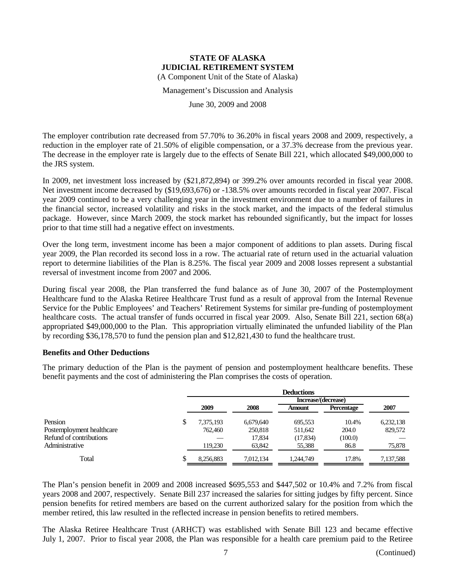Management's Discussion and Analysis

June 30, 2009 and 2008

The employer contribution rate decreased from 57.70% to 36.20% in fiscal years 2008 and 2009, respectively, a reduction in the employer rate of 21.50% of eligible compensation, or a 37.3% decrease from the previous year. The decrease in the employer rate is largely due to the effects of Senate Bill 221, which allocated \$49,000,000 to the JRS system.

In 2009, net investment loss increased by (\$21,872,894) or 399.2% over amounts recorded in fiscal year 2008. Net investment income decreased by (\$19,693,676) or -138.5% over amounts recorded in fiscal year 2007. Fiscal year 2009 continued to be a very challenging year in the investment environment due to a number of failures in the financial sector, increased volatility and risks in the stock market, and the impacts of the federal stimulus package. However, since March 2009, the stock market has rebounded significantly, but the impact for losses prior to that time still had a negative effect on investments.

Over the long term, investment income has been a major component of additions to plan assets. During fiscal year 2009, the Plan recorded its second loss in a row. The actuarial rate of return used in the actuarial valuation report to determine liabilities of the Plan is 8.25%. The fiscal year 2009 and 2008 losses represent a substantial reversal of investment income from 2007 and 2006.

During fiscal year 2008, the Plan transferred the fund balance as of June 30, 2007 of the Postemployment Healthcare fund to the Alaska Retiree Healthcare Trust fund as a result of approval from the Internal Revenue Service for the Public Employees' and Teachers' Retirement Systems for similar pre-funding of postemployment healthcare costs. The actual transfer of funds occurred in fiscal year 2009. Also, Senate Bill 221, section 68(a) appropriated \$49,000,000 to the Plan. This appropriation virtually eliminated the unfunded liability of the Plan by recording \$36,178,570 to fund the pension plan and \$12,821,430 to fund the healthcare trust.

#### **Benefits and Other Deductions**

The primary deduction of the Plan is the payment of pension and postemployment healthcare benefits. These benefit payments and the cost of administering the Plan comprises the costs of operation.

|                           |    | <b>Deductions</b> |           |                     |                   |           |  |  |
|---------------------------|----|-------------------|-----------|---------------------|-------------------|-----------|--|--|
|                           |    |                   |           | Increase/(decrease) |                   |           |  |  |
|                           |    | 2009              | 2008      | Amount              | <b>Percentage</b> | 2007      |  |  |
| Pension                   | \$ | 7,375,193         | 6.679.640 | 695,553             | 10.4%             | 6,232,138 |  |  |
| Postemployment healthcare |    | 762,460           | 250,818   | 511,642             | 204.0             | 829,572   |  |  |
| Refund of contributions   |    |                   | 17,834    | (17, 834)           | (100.0)           |           |  |  |
| Administrative            |    | 119.230           | 63,842    | 55,388              | 86.8              | 75,878    |  |  |
| Total                     | Φ  | 8.256.883         | 7.012.134 | 1.244.749           | 17.8%             | 7,137,588 |  |  |

The Plan's pension benefit in 2009 and 2008 increased \$695,553 and \$447,502 or 10.4% and 7.2% from fiscal years 2008 and 2007, respectively. Senate Bill 237 increased the salaries for sitting judges by fifty percent. Since pension benefits for retired members are based on the current authorized salary for the position from which the member retired, this law resulted in the reflected increase in pension benefits to retired members.

The Alaska Retiree Healthcare Trust (ARHCT) was established with Senate Bill 123 and became effective July 1, 2007. Prior to fiscal year 2008, the Plan was responsible for a health care premium paid to the Retiree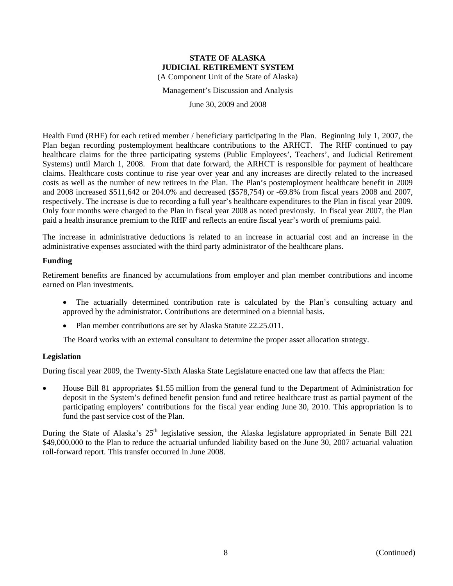Management's Discussion and Analysis

June 30, 2009 and 2008

Health Fund (RHF) for each retired member / beneficiary participating in the Plan. Beginning July 1, 2007, the Plan began recording postemployment healthcare contributions to the ARHCT. The RHF continued to pay healthcare claims for the three participating systems (Public Employees', Teachers', and Judicial Retirement Systems) until March 1, 2008. From that date forward, the ARHCT is responsible for payment of healthcare claims. Healthcare costs continue to rise year over year and any increases are directly related to the increased costs as well as the number of new retirees in the Plan. The Plan's postemployment healthcare benefit in 2009 and 2008 increased \$511,642 or 204.0% and decreased (\$578,754) or -69.8% from fiscal years 2008 and 2007, respectively. The increase is due to recording a full year's healthcare expenditures to the Plan in fiscal year 2009. Only four months were charged to the Plan in fiscal year 2008 as noted previously. In fiscal year 2007, the Plan paid a health insurance premium to the RHF and reflects an entire fiscal year's worth of premiums paid.

The increase in administrative deductions is related to an increase in actuarial cost and an increase in the administrative expenses associated with the third party administrator of the healthcare plans.

#### **Funding**

Retirement benefits are financed by accumulations from employer and plan member contributions and income earned on Plan investments.

- The actuarially determined contribution rate is calculated by the Plan's consulting actuary and approved by the administrator. Contributions are determined on a biennial basis.
- Plan member contributions are set by Alaska Statute 22.25.011.

The Board works with an external consultant to determine the proper asset allocation strategy.

#### **Legislation**

During fiscal year 2009, the Twenty-Sixth Alaska State Legislature enacted one law that affects the Plan:

• House Bill 81 appropriates \$1.55 million from the general fund to the Department of Administration for deposit in the System's defined benefit pension fund and retiree healthcare trust as partial payment of the participating employers' contributions for the fiscal year ending June 30, 2010. This appropriation is to fund the past service cost of the Plan.

During the State of Alaska's  $25<sup>th</sup>$  legislative session, the Alaska legislature appropriated in Senate Bill 221 \$49,000,000 to the Plan to reduce the actuarial unfunded liability based on the June 30, 2007 actuarial valuation roll-forward report. This transfer occurred in June 2008.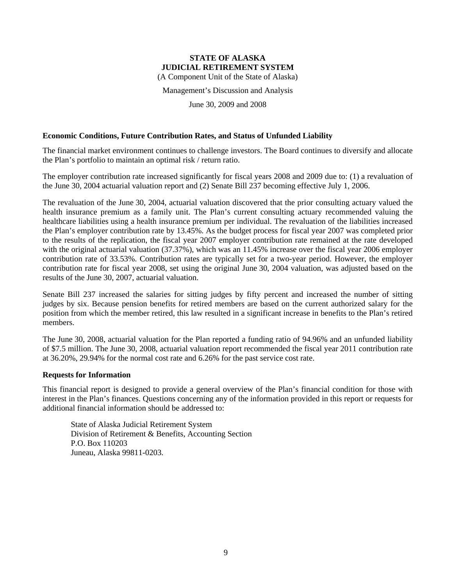(A Component Unit of the State of Alaska)

Management's Discussion and Analysis

June 30, 2009 and 2008

#### **Economic Conditions, Future Contribution Rates, and Status of Unfunded Liability**

The financial market environment continues to challenge investors. The Board continues to diversify and allocate the Plan's portfolio to maintain an optimal risk / return ratio.

The employer contribution rate increased significantly for fiscal years 2008 and 2009 due to: (1) a revaluation of the June 30, 2004 actuarial valuation report and (2) Senate Bill 237 becoming effective July 1, 2006.

The revaluation of the June 30, 2004, actuarial valuation discovered that the prior consulting actuary valued the health insurance premium as a family unit. The Plan's current consulting actuary recommended valuing the healthcare liabilities using a health insurance premium per individual. The revaluation of the liabilities increased the Plan's employer contribution rate by 13.45%. As the budget process for fiscal year 2007 was completed prior to the results of the replication, the fiscal year 2007 employer contribution rate remained at the rate developed with the original actuarial valuation (37.37%), which was an 11.45% increase over the fiscal year 2006 employer contribution rate of 33.53%. Contribution rates are typically set for a two-year period. However, the employer contribution rate for fiscal year 2008, set using the original June 30, 2004 valuation, was adjusted based on the results of the June 30, 2007, actuarial valuation.

Senate Bill 237 increased the salaries for sitting judges by fifty percent and increased the number of sitting judges by six. Because pension benefits for retired members are based on the current authorized salary for the position from which the member retired, this law resulted in a significant increase in benefits to the Plan's retired members.

The June 30, 2008, actuarial valuation for the Plan reported a funding ratio of 94.96% and an unfunded liability of \$7.5 million. The June 30, 2008, actuarial valuation report recommended the fiscal year 2011 contribution rate at 36.20%, 29.94% for the normal cost rate and 6.26% for the past service cost rate.

#### **Requests for Information**

This financial report is designed to provide a general overview of the Plan's financial condition for those with interest in the Plan's finances. Questions concerning any of the information provided in this report or requests for additional financial information should be addressed to:

State of Alaska Judicial Retirement System Division of Retirement & Benefits, Accounting Section P.O. Box 110203 Juneau, Alaska 99811-0203.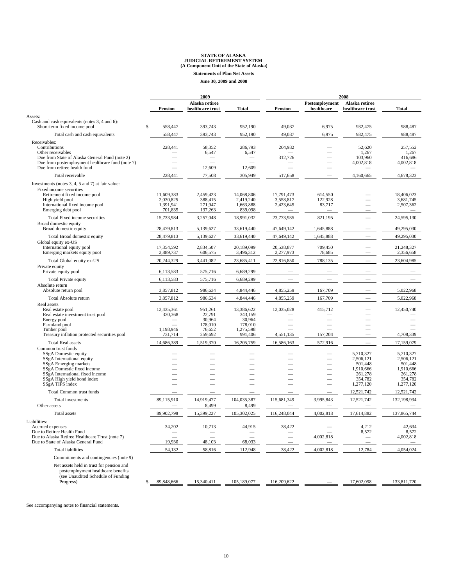**Statements of Plan Net Assets**

**June 30, 2009 and 2008**

| the control of the control of |  |
|-------------------------------|--|
|                               |  |
|                               |  |
|                               |  |
|                               |  |
|                               |  |
|                               |  |

|                                                                                                    |                          | 2009                               |                      |                          | 2008                         |                                    |                      |  |
|----------------------------------------------------------------------------------------------------|--------------------------|------------------------------------|----------------------|--------------------------|------------------------------|------------------------------------|----------------------|--|
|                                                                                                    | <b>Pension</b>           | Alaska retiree<br>healthcare trust | <b>Total</b>         | <b>Pension</b>           | Postemployment<br>healthcare | Alaska retiree<br>healthcare trust | Total                |  |
| Assets:                                                                                            |                          |                                    |                      |                          |                              |                                    |                      |  |
| Cash and cash equivalents (notes 3, 4 and 6):<br>Short-term fixed income pool                      | 558,447                  | 393,743                            | 952,190              | 49,037                   | 6,975                        | 932,475                            | 988,487              |  |
| Total cash and cash equivalents                                                                    | 558,447                  | 393,743                            | 952,190              | 49,037                   | 6,975                        | 932,475                            | 988,487              |  |
| Receivables:                                                                                       |                          |                                    |                      |                          |                              |                                    |                      |  |
| Contributions                                                                                      | 228,441                  | 58,352                             | 286,793              | 204,932                  |                              | 52,620                             | 257,552              |  |
| Other receivables                                                                                  |                          | 6,547                              | 6,547                |                          |                              | 1,267                              | 1,267                |  |
| Due from State of Alaska General Fund (note 2)<br>Due from postemployment healthcare fund (note 7) |                          |                                    |                      | 312,726                  |                              | 103,960<br>4,002,818               | 416,686<br>4,002,818 |  |
| Due from retiree health fund                                                                       |                          | 12,609                             | 12,609               |                          |                              |                                    |                      |  |
| Total receivable                                                                                   | 228,441                  | 77,508                             | 305,949              | 517,658                  | $\overline{\phantom{0}}$     | 4,160,665                          | 4,678,323            |  |
| Investments (notes 3, 4, 5 and 7) at fair value:                                                   |                          |                                    |                      |                          |                              |                                    |                      |  |
| Fixed income securities                                                                            |                          |                                    |                      |                          |                              |                                    |                      |  |
| Retirement fixed income pool                                                                       | 11,609,383               | 2,459,423                          | 14,068,806           | 17,791,473               | 614,550                      |                                    | 18,406,023           |  |
| High yield pool                                                                                    | 2,030,825                | 388,415                            | 2,419,240            | 3,558,817                | 122,928                      |                                    | 3.681.745            |  |
| International fixed income pool<br>Emerging debt pool                                              | 1,391,941<br>701,835     | 271,947<br>137,263                 | 1,663,888<br>839,098 | 2,423,645                | 83,717                       |                                    | 2,507,362            |  |
| Total Fixed income securities                                                                      |                          | 3,257,048                          | 18,991,032           | 23,773,935               | 821,195                      |                                    | 24,595,130           |  |
| Broad domestic equity                                                                              | 15,733,984               |                                    |                      |                          |                              |                                    |                      |  |
| Broad domestic equity                                                                              | 28,479,813               | 5,139,627                          | 33,619,440           | 47,649,142               | 1,645,888                    |                                    | 49,295,030           |  |
| Total Broad domestic equity                                                                        | 28,479,813               | 5,139,627                          | 33,619,440           | 47,649,142               | 1,645,888                    |                                    | 49,295,030           |  |
| Global equity ex-US                                                                                |                          |                                    |                      |                          |                              |                                    |                      |  |
| International equity pool                                                                          | 17,354,592               | 2,834,507                          | 20,189,099           | 20,538,877               | 709,450                      |                                    | 21,248,327           |  |
| Emerging markets equity pool                                                                       | 2,889,737                | 606,575                            | 3,496,312            | 2,277,973                | 78,685                       |                                    | 2,356,658            |  |
| Total Global equity ex-US                                                                          | 20,244,329               | 3,441,082                          | 23,685,411           | 22,816,850               | 788,135                      |                                    | 23,604,985           |  |
| Private equity<br>Private equity pool                                                              | 6,113,583                |                                    | 6,689,299            |                          |                              |                                    |                      |  |
|                                                                                                    |                          | 575,716                            |                      |                          |                              |                                    |                      |  |
| Total Private equity<br>Absolute return                                                            | 6,113,583                | 575,716                            | 6,689,299            |                          |                              |                                    |                      |  |
| Absolute return pool                                                                               | 3,857,812                | 986,634                            | 4,844,446            | 4,855,259                | 167,709                      |                                    | 5,022,968            |  |
| Total Absolute return                                                                              | 3,857,812                | 986,634                            | 4,844,446            | 4,855,259                | 167,709                      |                                    | 5,022,968            |  |
| Real assets                                                                                        |                          |                                    |                      |                          |                              |                                    |                      |  |
| Real estate pool                                                                                   | 12,435,361               | 951,261                            | 13,386,622           | 12,035,028               | 415,712                      |                                    | 12,450,740           |  |
| Real estate investment trust pool                                                                  | 320,368                  | 22.791                             | 343,159              |                          |                              |                                    |                      |  |
| Energy pool<br>Farmland pool                                                                       |                          | 30,964<br>178,010                  | 30,964<br>178,010    |                          |                              |                                    |                      |  |
| Timber pool                                                                                        | 1,198,946                | 76,652                             | 1,275,598            |                          |                              |                                    |                      |  |
| Treasury inflation protected securities pool                                                       | 731,714                  | 259,692                            | 991,406              | 4,551,135                | 157,204                      |                                    | 4,708,339            |  |
| <b>Total Real assets</b>                                                                           | 14,686,389               | 1,519,370                          | 16,205,759           | 16,586,163               | 572,916                      |                                    | 17,159,079           |  |
| Common trust funds                                                                                 |                          |                                    |                      |                          |                              |                                    |                      |  |
| SSgA Domestic equity                                                                               |                          |                                    |                      |                          |                              | 5,710,327                          | 5,710,327            |  |
| SSgA International equity<br>SSgA Emerging markets                                                 |                          |                                    |                      |                          |                              | 2,506,121<br>501,448               | 2,506,121<br>501,448 |  |
| SSgA Domestic fixed income                                                                         |                          |                                    |                      |                          |                              | 1,910,666                          | 1,910,666            |  |
| SSgA International fixed income                                                                    |                          |                                    |                      |                          |                              | 261,278                            | 261,278              |  |
| SSgA High yield bond index                                                                         |                          |                                    |                      |                          |                              | 354,782                            | 354,782              |  |
| SSgA TIPS index                                                                                    |                          |                                    |                      |                          |                              | 1,277,120                          | 1,277,120            |  |
| <b>Total Common trust funds</b>                                                                    | $\overline{\phantom{0}}$ | $\overline{\phantom{0}}$           |                      | $\overline{\phantom{0}}$ | $\overline{\phantom{0}}$     | 12,521,742                         | 12,521,742           |  |
| Total investments                                                                                  | 89,115,910               | 14,919,477                         | 104,035,387          | 115,681,349              | 3.995.843                    | 12,521,742                         | 132,198,934          |  |
| Other assets                                                                                       |                          | 8,499                              | 8,499                |                          |                              |                                    |                      |  |
| Total assets                                                                                       | 89,902,798               | 15,399,227                         | 105,302,025          | 116,248,044              | 4,002,818                    | 17,614,882                         | 137,865,744          |  |
| Liabilities:<br>Accrued expenses                                                                   | 34,202                   | 10,713                             | 44,915               | 38,422                   |                              | 4,212                              | 42,634               |  |
| Due to Retiree Health Fund                                                                         |                          |                                    |                      |                          |                              | 8,572                              | 8,572                |  |
| Due to Alaska Retiree Healthcare Trust (note 7)                                                    |                          |                                    |                      | $\overline{\phantom{0}}$ | 4,002,818                    |                                    | 4,002,818            |  |
| Due to State of Alaska General Fund                                                                | 19,930                   | 48,103                             | 68,033               |                          |                              |                                    |                      |  |
| <b>Total liabilities</b>                                                                           | 54,132                   | 58,816                             | 112,948              | 38,422                   | 4,002,818                    | 12,784                             | 4,054,024            |  |
| Commitments and contingencies (note 9)                                                             |                          |                                    |                      |                          |                              |                                    |                      |  |
| Net assets held in trust for pension and                                                           |                          |                                    |                      |                          |                              |                                    |                      |  |
| postemployment healthcare benefits                                                                 |                          |                                    |                      |                          |                              |                                    |                      |  |
| (see Unaudited Schedule of Funding                                                                 |                          |                                    |                      |                          |                              |                                    |                      |  |
| Progress)                                                                                          | 89,848,666<br>\$         | 15,340,411                         | 105,189,077          | 116,209,622              |                              | 17,602,098                         | 133,811,720          |  |

See accompanying notes to financial statements.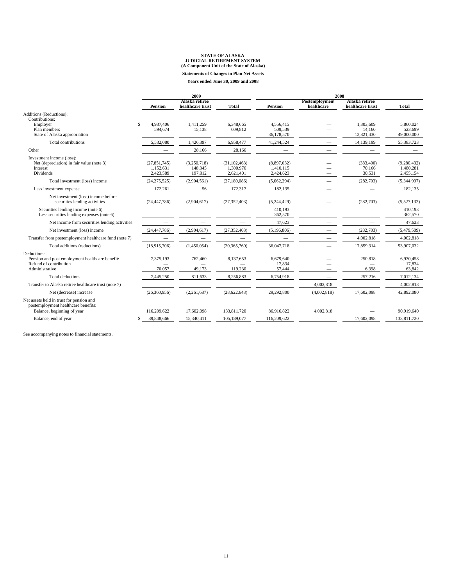**Statements of Changes in Plan Net Assets**

| <b>Years ended June 30, 2009 and 2008</b> |  |  |  |  |  |
|-------------------------------------------|--|--|--|--|--|
|-------------------------------------------|--|--|--|--|--|

|                                                                                 | 2009             |                                    |                          | 2008                     |                              |                                    |              |
|---------------------------------------------------------------------------------|------------------|------------------------------------|--------------------------|--------------------------|------------------------------|------------------------------------|--------------|
|                                                                                 | <b>Pension</b>   | Alaska retiree<br>healthcare trust | <b>Total</b>             | <b>Pension</b>           | Postemployment<br>healthcare | Alaska retiree<br>healthcare trust | <b>Total</b> |
| Additions (Reductions):                                                         |                  |                                    |                          |                          |                              |                                    |              |
| Contributions:                                                                  |                  |                                    |                          |                          |                              |                                    |              |
| Employer                                                                        | \$.<br>4.937.406 | 1,411,259                          | 6,348,665                | 4,556,415                |                              | 1.303.609                          | 5,860,024    |
| Plan members                                                                    | 594.674          | 15,138                             | 609,812                  | 509.539                  |                              | 14.160                             | 523,699      |
| State of Alaska appropriation                                                   |                  | $\overline{\phantom{0}}$           | $\overline{\phantom{0}}$ | 36,178,570               |                              | 12,821,430                         | 49,000,000   |
| Total contributions                                                             | 5,532,080        | 1,426,397                          | 6,958,477                | 41,244,524               |                              | 14,139,199                         | 55,383,723   |
| Other                                                                           |                  | 28,166                             | 28,166                   |                          |                              |                                    |              |
| Investment income (loss):                                                       |                  |                                    |                          |                          |                              |                                    |              |
| Net (depreciation) in fair value (note 3)                                       | (27, 851, 745)   | (3,250,718)                        | (31, 102, 463)           | (8,897,032)              |                              | (383, 400)                         | (9,280,432)  |
| Interest                                                                        | 1,152,631        | 148,345                            | 1,300,976                | 1,410,115                |                              | 70,166                             | 1,480,281    |
| Dividends                                                                       | 2,423,589        | 197,812                            | 2,621,401                | 2,424,623                |                              | 30,531                             | 2,455,154    |
| Total investment (loss) income                                                  | (24, 275, 525)   | (2,904,561)                        | (27, 180, 086)           | (5,062,294)              |                              | (282,703)                          | (5,344,997)  |
| Less investment expense                                                         | 172,261          | 56                                 | 172,317                  | 182,135                  |                              |                                    | 182,135      |
| Net investment (loss) income before                                             |                  |                                    |                          |                          |                              |                                    |              |
| securities lending activities                                                   | (24, 447, 786)   | (2,904,617)                        | (27, 352, 403)           | (5,244,429)              |                              | (282, 703)                         | (5,527,132)  |
| Securities lending income (note 6)                                              |                  |                                    |                          | 410.193                  |                              |                                    | 410.193      |
| Less securities lending expenses (note 6)                                       |                  |                                    |                          | 362,570                  |                              |                                    | 362,570      |
| Net income from securities lending activities                                   |                  |                                    |                          | 47,623                   |                              |                                    | 47,623       |
| Net investment (loss) income                                                    | (24, 447, 786)   | (2,904,617)                        | (27, 352, 403)           | (5,196,806)              |                              | (282, 703)                         | (5,479,509)  |
| Transfer from postemployment healthcare fund (note 7)                           |                  |                                    |                          |                          |                              | 4,002,818                          | 4,002,818    |
| Total additions (reductions)                                                    | (18,915,706)     | (1,450,054)                        | (20, 365, 760)           | 36,047,718               |                              | 17,859,314                         | 53,907,032   |
| Deductions:                                                                     |                  |                                    |                          |                          |                              |                                    |              |
| Pension and post employment healthcare benefits                                 | 7,375,193        | 762,460                            | 8,137,653                | 6,679,640                |                              | 250,818                            | 6.930.458    |
| Refund of contribution                                                          |                  |                                    |                          | 17,834                   |                              |                                    | 17,834       |
| Administrative                                                                  | 70,057           | 49,173                             | 119,230                  | 57,444                   |                              | 6,398                              | 63,842       |
| Total deductions                                                                | 7,445,250        | 811,633                            | 8,256,883                | 6,754,918                |                              | 257,216                            | 7,012,134    |
| Transfer to Alaska retiree healthcare trust (note 7)                            |                  |                                    | $\overline{\phantom{m}}$ | $\overline{\phantom{m}}$ | 4,002,818                    |                                    | 4,002,818    |
| Net (decrease) increase                                                         | (26,360,956)     | (2,261,687)                        | (28, 622, 643)           | 29,292,800               | (4,002,818)                  | 17,602,098                         | 42,892,080   |
| Net assets held in trust for pension and<br>postemployment healthcare benefits: |                  |                                    |                          |                          |                              |                                    |              |
| Balance, beginning of year                                                      | 116,209,622      | 17,602,098                         | 133,811,720              | 86,916,822               | 4,002,818                    |                                    | 90.919.640   |
| Balance, end of year                                                            | 89,848,666<br>\$ | 15,340,411                         | 105,189,077              | 116,209,622              |                              | 17,602,098                         | 133,811,720  |

See accompanying notes to financial statements.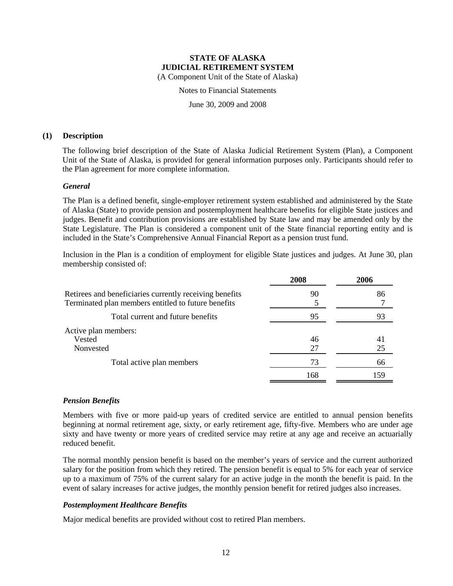(A Component Unit of the State of Alaska)

Notes to Financial Statements

June 30, 2009 and 2008

#### **(1) Description**

The following brief description of the State of Alaska Judicial Retirement System (Plan), a Component Unit of the State of Alaska, is provided for general information purposes only. Participants should refer to the Plan agreement for more complete information.

#### *General*

The Plan is a defined benefit, single-employer retirement system established and administered by the State of Alaska (State) to provide pension and postemployment healthcare benefits for eligible State justices and judges. Benefit and contribution provisions are established by State law and may be amended only by the State Legislature. The Plan is considered a component unit of the State financial reporting entity and is included in the State's Comprehensive Annual Financial Report as a pension trust fund.

Inclusion in the Plan is a condition of employment for eligible State justices and judges. At June 30, plan membership consisted of:

|                                                                                                                | 2008     | 2006     |
|----------------------------------------------------------------------------------------------------------------|----------|----------|
| Retirees and beneficiaries currently receiving benefits<br>Terminated plan members entitled to future benefits | 90       | 86       |
| Total current and future benefits                                                                              | 95       | 93       |
| Active plan members:<br>Vested<br>Nonvested                                                                    | 46<br>27 | 41<br>25 |
| Total active plan members                                                                                      | 73       | 66       |
|                                                                                                                | 168      | 159      |

#### *Pension Benefits*

Members with five or more paid-up years of credited service are entitled to annual pension benefits beginning at normal retirement age, sixty, or early retirement age, fifty-five. Members who are under age sixty and have twenty or more years of credited service may retire at any age and receive an actuarially reduced benefit.

The normal monthly pension benefit is based on the member's years of service and the current authorized salary for the position from which they retired. The pension benefit is equal to 5% for each year of service up to a maximum of 75% of the current salary for an active judge in the month the benefit is paid. In the event of salary increases for active judges, the monthly pension benefit for retired judges also increases.

### *Postemployment Healthcare Benefits*

Major medical benefits are provided without cost to retired Plan members.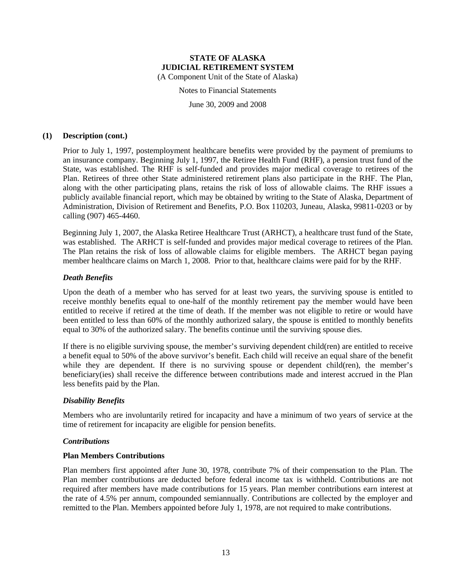Notes to Financial Statements

June 30, 2009 and 2008

#### **(1) Description (cont.)**

Prior to July 1, 1997, postemployment healthcare benefits were provided by the payment of premiums to an insurance company. Beginning July 1, 1997, the Retiree Health Fund (RHF), a pension trust fund of the State, was established. The RHF is self-funded and provides major medical coverage to retirees of the Plan. Retirees of three other State administered retirement plans also participate in the RHF. The Plan, along with the other participating plans, retains the risk of loss of allowable claims. The RHF issues a publicly available financial report, which may be obtained by writing to the State of Alaska, Department of Administration, Division of Retirement and Benefits, P.O. Box 110203, Juneau, Alaska, 99811-0203 or by calling (907) 465-4460.

Beginning July 1, 2007, the Alaska Retiree Healthcare Trust (ARHCT), a healthcare trust fund of the State, was established. The ARHCT is self-funded and provides major medical coverage to retirees of the Plan. The Plan retains the risk of loss of allowable claims for eligible members. The ARHCT began paying member healthcare claims on March 1, 2008. Prior to that, healthcare claims were paid for by the RHF.

#### *Death Benefits*

Upon the death of a member who has served for at least two years, the surviving spouse is entitled to receive monthly benefits equal to one-half of the monthly retirement pay the member would have been entitled to receive if retired at the time of death. If the member was not eligible to retire or would have been entitled to less than 60% of the monthly authorized salary, the spouse is entitled to monthly benefits equal to 30% of the authorized salary. The benefits continue until the surviving spouse dies.

If there is no eligible surviving spouse, the member's surviving dependent child(ren) are entitled to receive a benefit equal to 50% of the above survivor's benefit. Each child will receive an equal share of the benefit while they are dependent. If there is no surviving spouse or dependent child(ren), the member's beneficiary(ies) shall receive the difference between contributions made and interest accrued in the Plan less benefits paid by the Plan.

#### *Disability Benefits*

Members who are involuntarily retired for incapacity and have a minimum of two years of service at the time of retirement for incapacity are eligible for pension benefits.

#### *Contributions*

#### **Plan Members Contributions**

Plan members first appointed after June 30, 1978, contribute 7% of their compensation to the Plan. The Plan member contributions are deducted before federal income tax is withheld. Contributions are not required after members have made contributions for 15 years. Plan member contributions earn interest at the rate of 4.5% per annum, compounded semiannually. Contributions are collected by the employer and remitted to the Plan. Members appointed before July 1, 1978, are not required to make contributions.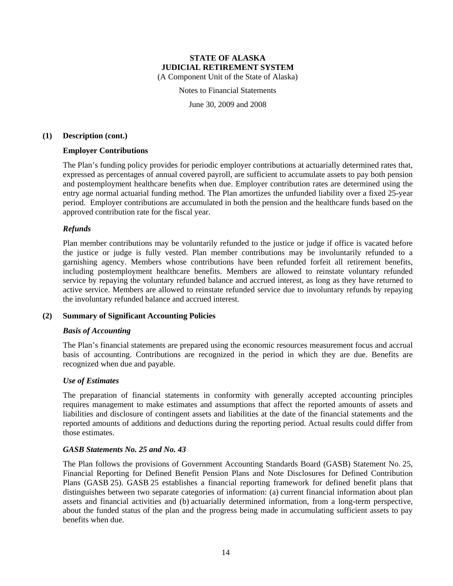Notes to Financial Statements

June 30, 2009 and 2008

#### **(1) Description (cont.)**

#### **Employer Contributions**

The Plan's funding policy provides for periodic employer contributions at actuarially determined rates that, expressed as percentages of annual covered payroll, are sufficient to accumulate assets to pay both pension and postemployment healthcare benefits when due. Employer contribution rates are determined using the entry age normal actuarial funding method. The Plan amortizes the unfunded liability over a fixed 25-year period. Employer contributions are accumulated in both the pension and the healthcare funds based on the approved contribution rate for the fiscal year.

#### *Refunds*

Plan member contributions may be voluntarily refunded to the justice or judge if office is vacated before the justice or judge is fully vested. Plan member contributions may be involuntarily refunded to a garnishing agency. Members whose contributions have been refunded forfeit all retirement benefits, including postemployment healthcare benefits. Members are allowed to reinstate voluntary refunded service by repaying the voluntary refunded balance and accrued interest, as long as they have returned to active service. Members are allowed to reinstate refunded service due to involuntary refunds by repaying the involuntary refunded balance and accrued interest.

#### **(2) Summary of Significant Accounting Policies**

#### *Basis of Accounting*

The Plan's financial statements are prepared using the economic resources measurement focus and accrual basis of accounting. Contributions are recognized in the period in which they are due. Benefits are recognized when due and payable.

#### *Use of Estimates*

The preparation of financial statements in conformity with generally accepted accounting principles requires management to make estimates and assumptions that affect the reported amounts of assets and liabilities and disclosure of contingent assets and liabilities at the date of the financial statements and the reported amounts of additions and deductions during the reporting period. Actual results could differ from those estimates.

#### *GASB Statements No. 25 and No. 43*

The Plan follows the provisions of Government Accounting Standards Board (GASB) Statement No. 25, Financial Reporting for Defined Benefit Pension Plans and Note Disclosures for Defined Contribution Plans (GASB 25). GASB 25 establishes a financial reporting framework for defined benefit plans that distinguishes between two separate categories of information: (a) current financial information about plan assets and financial activities and (b) actuarially determined information, from a long-term perspective, about the funded status of the plan and the progress being made in accumulating sufficient assets to pay benefits when due.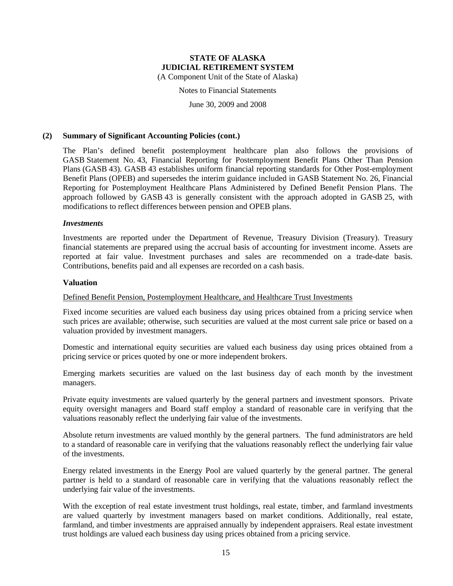(A Component Unit of the State of Alaska)

Notes to Financial Statements

June 30, 2009 and 2008

#### **(2) Summary of Significant Accounting Policies (cont.)**

The Plan's defined benefit postemployment healthcare plan also follows the provisions of GASB Statement No. 43, Financial Reporting for Postemployment Benefit Plans Other Than Pension Plans (GASB 43). GASB 43 establishes uniform financial reporting standards for Other Post-employment Benefit Plans (OPEB) and supersedes the interim guidance included in GASB Statement No. 26, Financial Reporting for Postemployment Healthcare Plans Administered by Defined Benefit Pension Plans. The approach followed by GASB 43 is generally consistent with the approach adopted in GASB 25, with modifications to reflect differences between pension and OPEB plans.

#### *Investments*

Investments are reported under the Department of Revenue, Treasury Division (Treasury). Treasury financial statements are prepared using the accrual basis of accounting for investment income. Assets are reported at fair value. Investment purchases and sales are recommended on a trade-date basis. Contributions, benefits paid and all expenses are recorded on a cash basis.

#### **Valuation**

#### Defined Benefit Pension, Postemployment Healthcare, and Healthcare Trust Investments

Fixed income securities are valued each business day using prices obtained from a pricing service when such prices are available; otherwise, such securities are valued at the most current sale price or based on a valuation provided by investment managers.

Domestic and international equity securities are valued each business day using prices obtained from a pricing service or prices quoted by one or more independent brokers.

Emerging markets securities are valued on the last business day of each month by the investment managers.

Private equity investments are valued quarterly by the general partners and investment sponsors. Private equity oversight managers and Board staff employ a standard of reasonable care in verifying that the valuations reasonably reflect the underlying fair value of the investments.

Absolute return investments are valued monthly by the general partners. The fund administrators are held to a standard of reasonable care in verifying that the valuations reasonably reflect the underlying fair value of the investments.

Energy related investments in the Energy Pool are valued quarterly by the general partner. The general partner is held to a standard of reasonable care in verifying that the valuations reasonably reflect the underlying fair value of the investments.

With the exception of real estate investment trust holdings, real estate, timber, and farmland investments are valued quarterly by investment managers based on market conditions. Additionally, real estate, farmland, and timber investments are appraised annually by independent appraisers. Real estate investment trust holdings are valued each business day using prices obtained from a pricing service.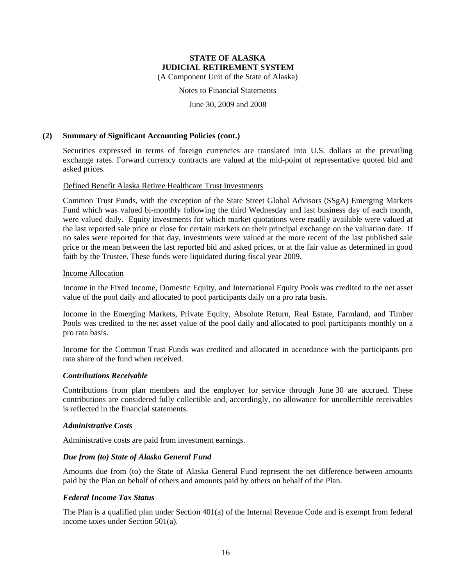(A Component Unit of the State of Alaska)

Notes to Financial Statements

June 30, 2009 and 2008

#### **(2) Summary of Significant Accounting Policies (cont.)**

Securities expressed in terms of foreign currencies are translated into U.S. dollars at the prevailing exchange rates. Forward currency contracts are valued at the mid-point of representative quoted bid and asked prices.

#### Defined Benefit Alaska Retiree Healthcare Trust Investments

Common Trust Funds, with the exception of the State Street Global Advisors (SSgA) Emerging Markets Fund which was valued bi-monthly following the third Wednesday and last business day of each month, were valued daily. Equity investments for which market quotations were readily available were valued at the last reported sale price or close for certain markets on their principal exchange on the valuation date. If no sales were reported for that day, investments were valued at the more recent of the last published sale price or the mean between the last reported bid and asked prices, or at the fair value as determined in good faith by the Trustee. These funds were liquidated during fiscal year 2009.

#### Income Allocation

Income in the Fixed Income, Domestic Equity, and International Equity Pools was credited to the net asset value of the pool daily and allocated to pool participants daily on a pro rata basis.

Income in the Emerging Markets, Private Equity, Absolute Return, Real Estate, Farmland, and Timber Pools was credited to the net asset value of the pool daily and allocated to pool participants monthly on a pro rata basis.

Income for the Common Trust Funds was credited and allocated in accordance with the participants pro rata share of the fund when received.

#### *Contributions Receivable*

Contributions from plan members and the employer for service through June 30 are accrued. These contributions are considered fully collectible and, accordingly, no allowance for uncollectible receivables is reflected in the financial statements.

#### *Administrative Costs*

Administrative costs are paid from investment earnings.

#### *Due from (to) State of Alaska General Fund*

Amounts due from (to) the State of Alaska General Fund represent the net difference between amounts paid by the Plan on behalf of others and amounts paid by others on behalf of the Plan.

#### *Federal Income Tax Status*

The Plan is a qualified plan under Section 401(a) of the Internal Revenue Code and is exempt from federal income taxes under Section 501(a).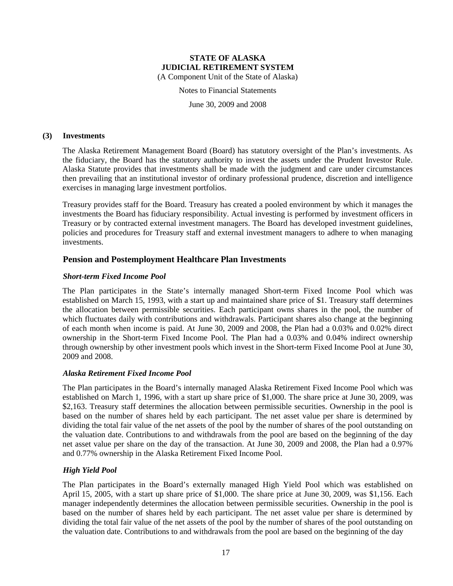Notes to Financial Statements

June 30, 2009 and 2008

#### **(3) Investments**

The Alaska Retirement Management Board (Board) has statutory oversight of the Plan's investments. As the fiduciary, the Board has the statutory authority to invest the assets under the Prudent Investor Rule. Alaska Statute provides that investments shall be made with the judgment and care under circumstances then prevailing that an institutional investor of ordinary professional prudence, discretion and intelligence exercises in managing large investment portfolios.

Treasury provides staff for the Board. Treasury has created a pooled environment by which it manages the investments the Board has fiduciary responsibility. Actual investing is performed by investment officers in Treasury or by contracted external investment managers. The Board has developed investment guidelines, policies and procedures for Treasury staff and external investment managers to adhere to when managing investments.

### **Pension and Postemployment Healthcare Plan Investments**

#### *Short-term Fixed Income Pool*

The Plan participates in the State's internally managed Short-term Fixed Income Pool which was established on March 15, 1993, with a start up and maintained share price of \$1. Treasury staff determines the allocation between permissible securities. Each participant owns shares in the pool, the number of which fluctuates daily with contributions and withdrawals. Participant shares also change at the beginning of each month when income is paid. At June 30, 2009 and 2008, the Plan had a 0.03% and 0.02% direct ownership in the Short-term Fixed Income Pool. The Plan had a 0.03% and 0.04% indirect ownership through ownership by other investment pools which invest in the Short-term Fixed Income Pool at June 30, 2009 and 2008.

#### *Alaska Retirement Fixed Income Pool*

The Plan participates in the Board's internally managed Alaska Retirement Fixed Income Pool which was established on March 1, 1996, with a start up share price of \$1,000. The share price at June 30, 2009, was \$2,163. Treasury staff determines the allocation between permissible securities. Ownership in the pool is based on the number of shares held by each participant. The net asset value per share is determined by dividing the total fair value of the net assets of the pool by the number of shares of the pool outstanding on the valuation date. Contributions to and withdrawals from the pool are based on the beginning of the day net asset value per share on the day of the transaction. At June 30, 2009 and 2008, the Plan had a 0.97% and 0.77% ownership in the Alaska Retirement Fixed Income Pool.

#### *High Yield Pool*

The Plan participates in the Board's externally managed High Yield Pool which was established on April 15, 2005, with a start up share price of \$1,000. The share price at June 30, 2009, was \$1,156. Each manager independently determines the allocation between permissible securities. Ownership in the pool is based on the number of shares held by each participant. The net asset value per share is determined by dividing the total fair value of the net assets of the pool by the number of shares of the pool outstanding on the valuation date. Contributions to and withdrawals from the pool are based on the beginning of the day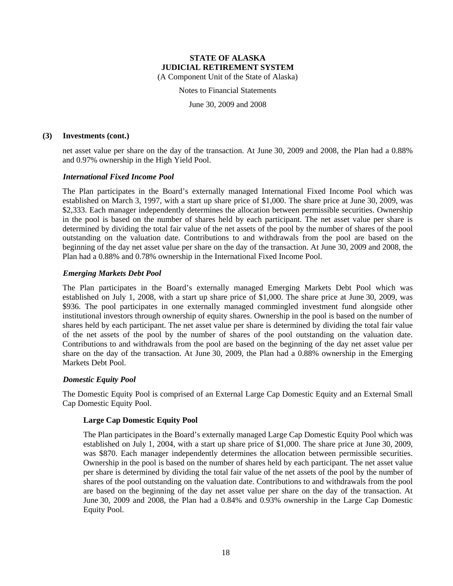Notes to Financial Statements

June 30, 2009 and 2008

#### **(3) Investments (cont.)**

net asset value per share on the day of the transaction. At June 30, 2009 and 2008, the Plan had a 0.88% and 0.97% ownership in the High Yield Pool.

#### *International Fixed Income Pool*

The Plan participates in the Board's externally managed International Fixed Income Pool which was established on March 3, 1997, with a start up share price of \$1,000. The share price at June 30, 2009, was \$2,333. Each manager independently determines the allocation between permissible securities. Ownership in the pool is based on the number of shares held by each participant. The net asset value per share is determined by dividing the total fair value of the net assets of the pool by the number of shares of the pool outstanding on the valuation date. Contributions to and withdrawals from the pool are based on the beginning of the day net asset value per share on the day of the transaction. At June 30, 2009 and 2008, the Plan had a 0.88% and 0.78% ownership in the International Fixed Income Pool.

#### *Emerging Markets Debt Pool*

The Plan participates in the Board's externally managed Emerging Markets Debt Pool which was established on July 1, 2008, with a start up share price of \$1,000. The share price at June 30, 2009, was \$936. The pool participates in one externally managed commingled investment fund alongside other institutional investors through ownership of equity shares. Ownership in the pool is based on the number of shares held by each participant. The net asset value per share is determined by dividing the total fair value of the net assets of the pool by the number of shares of the pool outstanding on the valuation date. Contributions to and withdrawals from the pool are based on the beginning of the day net asset value per share on the day of the transaction. At June 30, 2009, the Plan had a 0.88% ownership in the Emerging Markets Debt Pool.

#### *Domestic Equity Pool*

The Domestic Equity Pool is comprised of an External Large Cap Domestic Equity and an External Small Cap Domestic Equity Pool.

#### **Large Cap Domestic Equity Pool**

The Plan participates in the Board's externally managed Large Cap Domestic Equity Pool which was established on July 1, 2004, with a start up share price of \$1,000. The share price at June 30, 2009, was \$870. Each manager independently determines the allocation between permissible securities. Ownership in the pool is based on the number of shares held by each participant. The net asset value per share is determined by dividing the total fair value of the net assets of the pool by the number of shares of the pool outstanding on the valuation date. Contributions to and withdrawals from the pool are based on the beginning of the day net asset value per share on the day of the transaction. At June 30, 2009 and 2008, the Plan had a 0.84% and 0.93% ownership in the Large Cap Domestic Equity Pool.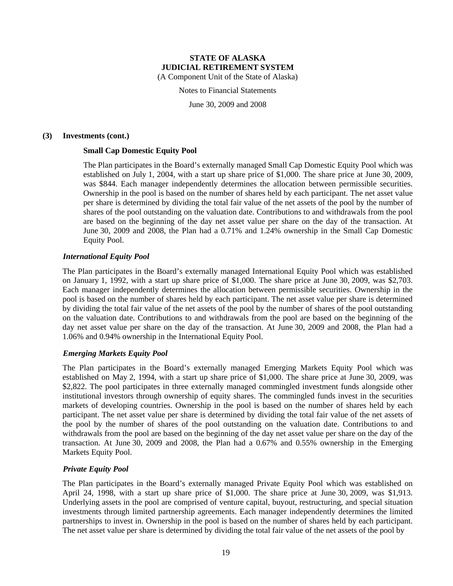Notes to Financial Statements

June 30, 2009 and 2008

#### **(3) Investments (cont.)**

#### **Small Cap Domestic Equity Pool**

The Plan participates in the Board's externally managed Small Cap Domestic Equity Pool which was established on July 1, 2004, with a start up share price of \$1,000. The share price at June 30, 2009, was \$844. Each manager independently determines the allocation between permissible securities. Ownership in the pool is based on the number of shares held by each participant. The net asset value per share is determined by dividing the total fair value of the net assets of the pool by the number of shares of the pool outstanding on the valuation date. Contributions to and withdrawals from the pool are based on the beginning of the day net asset value per share on the day of the transaction. At June 30, 2009 and 2008, the Plan had a 0.71% and 1.24% ownership in the Small Cap Domestic Equity Pool.

#### *International Equity Pool*

The Plan participates in the Board's externally managed International Equity Pool which was established on January 1, 1992, with a start up share price of \$1,000. The share price at June 30, 2009, was \$2,703. Each manager independently determines the allocation between permissible securities. Ownership in the pool is based on the number of shares held by each participant. The net asset value per share is determined by dividing the total fair value of the net assets of the pool by the number of shares of the pool outstanding on the valuation date. Contributions to and withdrawals from the pool are based on the beginning of the day net asset value per share on the day of the transaction. At June 30, 2009 and 2008, the Plan had a 1.06% and 0.94% ownership in the International Equity Pool.

#### *Emerging Markets Equity Pool*

The Plan participates in the Board's externally managed Emerging Markets Equity Pool which was established on May 2, 1994, with a start up share price of \$1,000. The share price at June 30, 2009, was \$2,822. The pool participates in three externally managed commingled investment funds alongside other institutional investors through ownership of equity shares. The commingled funds invest in the securities markets of developing countries. Ownership in the pool is based on the number of shares held by each participant. The net asset value per share is determined by dividing the total fair value of the net assets of the pool by the number of shares of the pool outstanding on the valuation date. Contributions to and withdrawals from the pool are based on the beginning of the day net asset value per share on the day of the transaction. At June 30, 2009 and 2008, the Plan had a 0.67% and 0.55% ownership in the Emerging Markets Equity Pool.

#### *Private Equity Pool*

The Plan participates in the Board's externally managed Private Equity Pool which was established on April 24, 1998, with a start up share price of \$1,000. The share price at June 30, 2009, was \$1,913. Underlying assets in the pool are comprised of venture capital, buyout, restructuring, and special situation investments through limited partnership agreements. Each manager independently determines the limited partnerships to invest in. Ownership in the pool is based on the number of shares held by each participant. The net asset value per share is determined by dividing the total fair value of the net assets of the pool by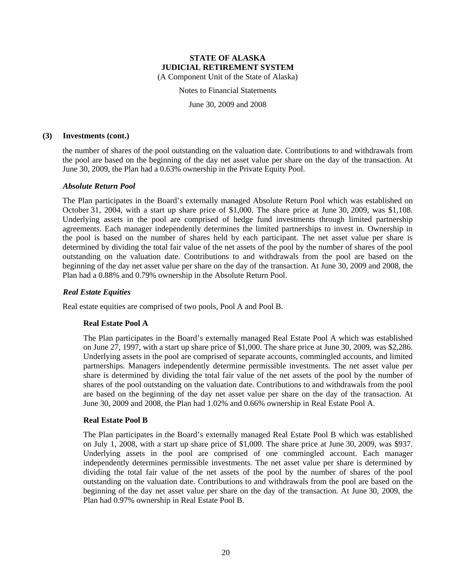Notes to Financial Statements

June 30, 2009 and 2008

#### **(3) Investments (cont.)**

the number of shares of the pool outstanding on the valuation date. Contributions to and withdrawals from the pool are based on the beginning of the day net asset value per share on the day of the transaction. At June 30, 2009, the Plan had a 0.63% ownership in the Private Equity Pool.

#### *Absolute Return Pool*

The Plan participates in the Board's externally managed Absolute Return Pool which was established on October 31, 2004, with a start up share price of \$1,000. The share price at June 30, 2009, was \$1,108. Underlying assets in the pool are comprised of hedge fund investments through limited partnership agreements. Each manager independently determines the limited partnerships to invest in. Ownership in the pool is based on the number of shares held by each participant. The net asset value per share is determined by dividing the total fair value of the net assets of the pool by the number of shares of the pool outstanding on the valuation date. Contributions to and withdrawals from the pool are based on the beginning of the day net asset value per share on the day of the transaction. At June 30, 2009 and 2008, the Plan had a 0.88% and 0.79% ownership in the Absolute Return Pool.

#### *Real Estate Equities*

Real estate equities are comprised of two pools, Pool A and Pool B.

#### **Real Estate Pool A**

The Plan participates in the Board's externally managed Real Estate Pool A which was established on June 27, 1997, with a start up share price of \$1,000. The share price at June 30, 2009, was \$2,286. Underlying assets in the pool are comprised of separate accounts, commingled accounts, and limited partnerships. Managers independently determine permissible investments. The net asset value per share is determined by dividing the total fair value of the net assets of the pool by the number of shares of the pool outstanding on the valuation date. Contributions to and withdrawals from the pool are based on the beginning of the day net asset value per share on the day of the transaction. At June 30, 2009 and 2008, the Plan had 1.02% and 0.66% ownership in Real Estate Pool A.

#### **Real Estate Pool B**

The Plan participates in the Board's externally managed Real Estate Pool B which was established on July 1, 2008, with a start up share price of \$1,000. The share price at June 30, 2009, was \$937. Underlying assets in the pool are comprised of one commingled account. Each manager independently determines permissible investments. The net asset value per share is determined by dividing the total fair value of the net assets of the pool by the number of shares of the pool outstanding on the valuation date. Contributions to and withdrawals from the pool are based on the beginning of the day net asset value per share on the day of the transaction. At June 30, 2009, the Plan had 0.97% ownership in Real Estate Pool B.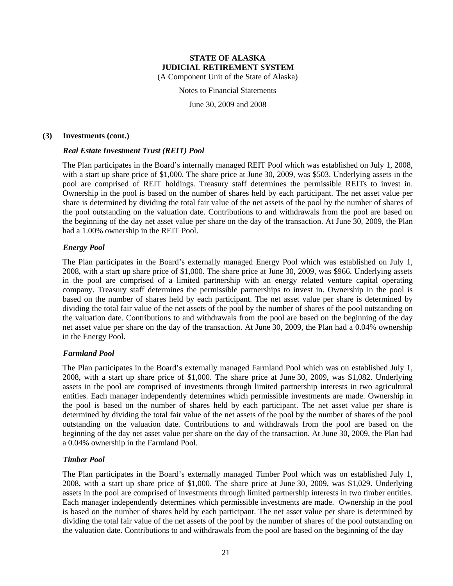Notes to Financial Statements

June 30, 2009 and 2008

#### **(3) Investments (cont.)**

#### *Real Estate Investment Trust (REIT) Pool*

The Plan participates in the Board's internally managed REIT Pool which was established on July 1, 2008, with a start up share price of \$1,000. The share price at June 30, 2009, was \$503. Underlying assets in the pool are comprised of REIT holdings. Treasury staff determines the permissible REITs to invest in. Ownership in the pool is based on the number of shares held by each participant. The net asset value per share is determined by dividing the total fair value of the net assets of the pool by the number of shares of the pool outstanding on the valuation date. Contributions to and withdrawals from the pool are based on the beginning of the day net asset value per share on the day of the transaction. At June 30, 2009, the Plan had a 1.00% ownership in the REIT Pool.

#### *Energy Pool*

The Plan participates in the Board's externally managed Energy Pool which was established on July 1, 2008, with a start up share price of \$1,000. The share price at June 30, 2009, was \$966. Underlying assets in the pool are comprised of a limited partnership with an energy related venture capital operating company. Treasury staff determines the permissible partnerships to invest in. Ownership in the pool is based on the number of shares held by each participant. The net asset value per share is determined by dividing the total fair value of the net assets of the pool by the number of shares of the pool outstanding on the valuation date. Contributions to and withdrawals from the pool are based on the beginning of the day net asset value per share on the day of the transaction. At June 30, 2009, the Plan had a 0.04% ownership in the Energy Pool.

#### *Farmland Pool*

The Plan participates in the Board's externally managed Farmland Pool which was on established July 1, 2008, with a start up share price of \$1,000. The share price at June 30, 2009, was \$1,082. Underlying assets in the pool are comprised of investments through limited partnership interests in two agricultural entities. Each manager independently determines which permissible investments are made. Ownership in the pool is based on the number of shares held by each participant. The net asset value per share is determined by dividing the total fair value of the net assets of the pool by the number of shares of the pool outstanding on the valuation date. Contributions to and withdrawals from the pool are based on the beginning of the day net asset value per share on the day of the transaction. At June 30, 2009, the Plan had a 0.04% ownership in the Farmland Pool.

#### *Timber Pool*

The Plan participates in the Board's externally managed Timber Pool which was on established July 1, 2008, with a start up share price of \$1,000. The share price at June 30, 2009, was \$1,029. Underlying assets in the pool are comprised of investments through limited partnership interests in two timber entities. Each manager independently determines which permissible investments are made. Ownership in the pool is based on the number of shares held by each participant. The net asset value per share is determined by dividing the total fair value of the net assets of the pool by the number of shares of the pool outstanding on the valuation date. Contributions to and withdrawals from the pool are based on the beginning of the day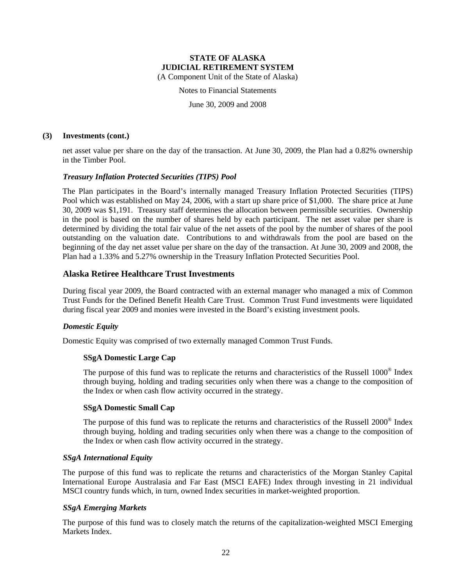(A Component Unit of the State of Alaska)

Notes to Financial Statements

June 30, 2009 and 2008

#### **(3) Investments (cont.)**

net asset value per share on the day of the transaction. At June 30, 2009, the Plan had a 0.82% ownership in the Timber Pool.

#### *Treasury Inflation Protected Securities (TIPS) Pool*

The Plan participates in the Board's internally managed Treasury Inflation Protected Securities (TIPS) Pool which was established on May 24, 2006, with a start up share price of \$1,000. The share price at June 30, 2009 was \$1,191. Treasury staff determines the allocation between permissible securities. Ownership in the pool is based on the number of shares held by each participant. The net asset value per share is determined by dividing the total fair value of the net assets of the pool by the number of shares of the pool outstanding on the valuation date. Contributions to and withdrawals from the pool are based on the beginning of the day net asset value per share on the day of the transaction. At June 30, 2009 and 2008, the Plan had a 1.33% and 5.27% ownership in the Treasury Inflation Protected Securities Pool.

#### **Alaska Retiree Healthcare Trust Investments**

During fiscal year 2009, the Board contracted with an external manager who managed a mix of Common Trust Funds for the Defined Benefit Health Care Trust. Common Trust Fund investments were liquidated during fiscal year 2009 and monies were invested in the Board's existing investment pools.

#### *Domestic Equity*

Domestic Equity was comprised of two externally managed Common Trust Funds.

#### **SSgA Domestic Large Cap**

The purpose of this fund was to replicate the returns and characteristics of the Russell 1000<sup>®</sup> Index through buying, holding and trading securities only when there was a change to the composition of the Index or when cash flow activity occurred in the strategy.

#### **SSgA Domestic Small Cap**

The purpose of this fund was to replicate the returns and characteristics of the Russell 2000® Index through buying, holding and trading securities only when there was a change to the composition of the Index or when cash flow activity occurred in the strategy.

#### *SSgA International Equity*

The purpose of this fund was to replicate the returns and characteristics of the Morgan Stanley Capital International Europe Australasia and Far East (MSCI EAFE) Index through investing in 21 individual MSCI country funds which, in turn, owned Index securities in market-weighted proportion.

#### *SSgA Emerging Markets*

The purpose of this fund was to closely match the returns of the capitalization-weighted MSCI Emerging Markets Index.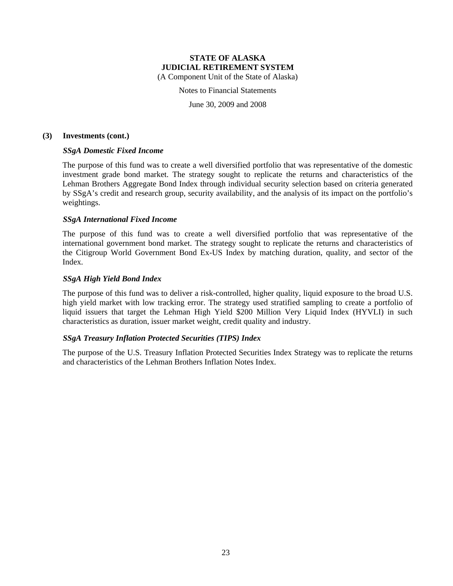Notes to Financial Statements

June 30, 2009 and 2008

#### **(3) Investments (cont.)**

#### *SSgA Domestic Fixed Income*

The purpose of this fund was to create a well diversified portfolio that was representative of the domestic investment grade bond market. The strategy sought to replicate the returns and characteristics of the Lehman Brothers Aggregate Bond Index through individual security selection based on criteria generated by SSgA's credit and research group, security availability, and the analysis of its impact on the portfolio's weightings.

#### *SSgA International Fixed Income*

The purpose of this fund was to create a well diversified portfolio that was representative of the international government bond market. The strategy sought to replicate the returns and characteristics of the Citigroup World Government Bond Ex-US Index by matching duration, quality, and sector of the Index.

#### *SSgA High Yield Bond Index*

The purpose of this fund was to deliver a risk-controlled, higher quality, liquid exposure to the broad U.S. high yield market with low tracking error. The strategy used stratified sampling to create a portfolio of liquid issuers that target the Lehman High Yield \$200 Million Very Liquid Index (HYVLI) in such characteristics as duration, issuer market weight, credit quality and industry.

#### *SSgA Treasury Inflation Protected Securities (TIPS) Index*

The purpose of the U.S. Treasury Inflation Protected Securities Index Strategy was to replicate the returns and characteristics of the Lehman Brothers Inflation Notes Index.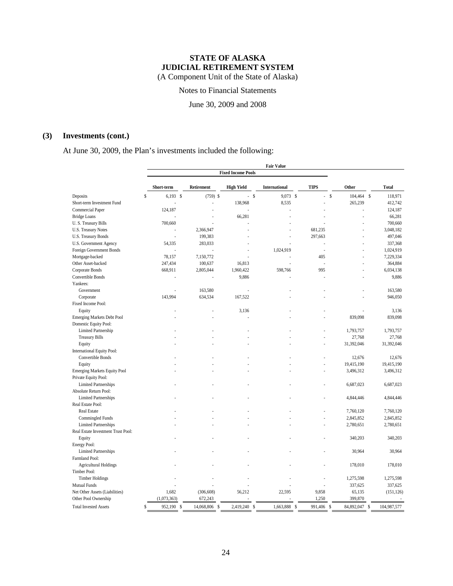Notes to Financial Statements

June 30, 2009 and 2008

### **(3) Investments (cont.)**

At June 30, 2009, the Plan's investments included the following:

|                                    |                  |               |                   | <b>Fair Value</b>    |                             |                             |              |
|------------------------------------|------------------|---------------|-------------------|----------------------|-----------------------------|-----------------------------|--------------|
|                                    |                  |               |                   |                      |                             |                             |              |
|                                    | Short-term       | Retirement    | <b>High Yield</b> | <b>International</b> | <b>TIPS</b>                 | Other                       | <b>Total</b> |
| Deposits                           | \$<br>$6,193$ \$ | $(759)$ \$    |                   | $-$ \$<br>9,073 \$   | ä,                          | $\mathsf{\$}$<br>104,464 \$ | 118,971      |
| Short-term Investment Fund         |                  |               | 138,968           | 8,535                |                             | 265,239                     | 412,742      |
| Commercial Paper                   | 124,187          |               |                   |                      |                             |                             | 124,187      |
| <b>Bridge Loans</b>                |                  |               | 66,281            |                      |                             |                             | 66,281       |
| U.S. Treasury Bills                | 700,660          |               |                   |                      |                             |                             | 700,660      |
| U.S. Treasury Notes                |                  | 2,366,947     |                   |                      | 681,235                     |                             | 3,048,182    |
| U.S. Treasury Bonds                |                  | 199,383       |                   |                      | 297,663                     |                             | 497,046      |
| U.S. Government Agency             | 54,335           | 283,033       |                   |                      |                             |                             | 337,368      |
| Foreign Government Bonds           |                  | ÷,            |                   | 1,024,919            |                             |                             | 1,024,919    |
| Mortgage-backed                    | 78,157           | 7,150,772     |                   |                      | 405                         |                             | 7,229,334    |
| Other Asset-backed                 | 247,434          | 100,637       | 16,813            |                      |                             |                             | 364,884      |
| Corporate Bonds                    | 668,911          | 2,805,044     | 1,960,422         | 598,766              | 995                         |                             | 6,034,138    |
|                                    |                  |               |                   |                      |                             |                             | 9,886        |
| Convertible Bonds<br>Yankees:      |                  |               | 9,886             |                      |                             |                             |              |
|                                    |                  |               |                   |                      |                             |                             |              |
| Government                         |                  | 163,580       |                   |                      |                             |                             | 163,580      |
| Corporate                          | 143,994          | 634,534       | 167,522           |                      |                             |                             | 946,050      |
| Fixed Income Pool:                 |                  |               |                   |                      |                             |                             |              |
| Equity                             |                  |               | 3,136             |                      |                             |                             | 3,136        |
| <b>Emerging Markets Debt Pool</b>  |                  |               |                   |                      |                             | 839,098                     | 839,098      |
| Domestic Equity Pool:              |                  |               |                   |                      |                             |                             |              |
| Limited Partnership                |                  |               |                   |                      |                             | 1,793,757                   | 1,793,757    |
| <b>Treasury Bills</b>              |                  |               |                   |                      |                             | 27,768                      | 27,768       |
| Equity                             |                  |               |                   |                      |                             | 31,392,046                  | 31,392,046   |
| International Equity Pool:         |                  |               |                   |                      |                             |                             |              |
| Convertible Bonds                  |                  |               |                   |                      |                             | 12,676                      | 12,676       |
| Equity                             |                  |               |                   |                      |                             | 19,415,190                  | 19,415,190   |
| Emerging Markets Equity Pool       |                  |               |                   |                      |                             | 3,496,312                   | 3,496,312    |
| Private Equity Pool:               |                  |               |                   |                      |                             |                             |              |
| <b>Limited Partnerships</b>        |                  |               |                   |                      |                             | 6,687,023                   | 6,687,023    |
| Absolute Return Pool:              |                  |               |                   |                      |                             |                             |              |
| <b>Limited Partnerships</b>        |                  |               |                   |                      |                             | 4,844,446                   | 4,844,446    |
| Real Estate Pool:                  |                  |               |                   |                      |                             |                             |              |
| <b>Real Estate</b>                 |                  |               |                   |                      |                             | 7,760,120                   | 7,760,120    |
| Commingled Funds                   |                  |               |                   |                      |                             | 2,845,852                   | 2,845,852    |
| <b>Limited Partnerships</b>        |                  |               |                   |                      |                             | 2,780,651                   | 2,780,651    |
| Real Estate Investment Trust Pool: |                  |               |                   |                      |                             |                             |              |
| Equity                             |                  |               |                   |                      |                             | 340,203                     | 340,203      |
| Energy Pool:                       |                  |               |                   |                      |                             |                             |              |
| <b>Limited Partnerships</b>        |                  |               |                   |                      |                             | 30,964                      | 30,964       |
| Farmland Pool:                     |                  |               |                   |                      |                             |                             |              |
| <b>Agricultural Holdings</b>       |                  |               |                   |                      |                             | 178,010                     | 178,010      |
| Timber Pool:                       |                  |               |                   |                      |                             |                             |              |
| <b>Timber Holdings</b>             |                  |               |                   |                      |                             | 1,275,598                   | 1,275,598    |
| <b>Mutual Funds</b>                |                  |               |                   |                      |                             | 337,625                     | 337,625      |
| Net Other Assets (Liabilities)     | 1,682            | (306, 608)    | 56,212            | 22,595               | 9,858                       | 65,135                      | (151, 126)   |
| Other Pool Ownership               | (1,073,363)      | 672,243       |                   |                      | 1,250                       | 399,870                     | ÷.           |
| <b>Total Invested Assets</b>       | \$<br>952.190 \$ | 14.068.806 \$ | 2.419.240 \$      | 1.663.888            | 991,406 \$<br><sup>\$</sup> | 84,892,047 \$               | 104.987.577  |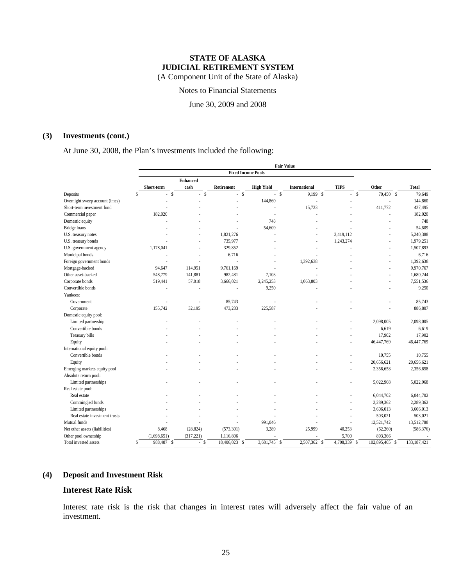Notes to Financial Statements

June 30, 2009 and 2008

### **(3) Investments (cont.)**

At June 30, 2008, the Plan's investments included the following:

|                                |                           |             |                 |                                  |                   | <b>Fair Value</b> |                      |                |             |             |              |
|--------------------------------|---------------------------|-------------|-----------------|----------------------------------|-------------------|-------------------|----------------------|----------------|-------------|-------------|--------------|
|                                | <b>Fixed Income Pools</b> |             |                 |                                  |                   |                   |                      |                |             |             |              |
|                                |                           |             | <b>Enhanced</b> |                                  |                   |                   |                      |                |             |             |              |
|                                |                           | Short-term  | cash            | Retirement                       | <b>High Yield</b> |                   | <b>International</b> | <b>TIPS</b>    | Other       |             | <b>Total</b> |
| Deposits                       | S                         | S<br>÷.     | $-$ \$          |                                  | $-$ \$            | $-$ s             | $9,199$ \$           |                | S<br>$\sim$ | $70,450$ \$ | 79,649       |
| Overnight sweep account (lmcs) |                           |             |                 |                                  | 144,860           |                   |                      |                |             | ÷.          | 144,860      |
| Short-term investment fund     |                           |             |                 |                                  |                   |                   | 15,723               |                |             | 411,772     | 427,495      |
| Commercial paper               |                           | 182,020     |                 |                                  | ×                 |                   |                      |                |             |             | 182,020      |
| Domestic equity                |                           |             |                 |                                  | 748               |                   |                      |                |             |             | 748          |
| <b>Bridge</b> loans            |                           |             |                 |                                  | 54,609            |                   |                      |                |             |             | 54,609       |
| U.S. treasury notes            |                           |             |                 | 1,821,276                        |                   |                   |                      | 3,419,112      |             |             | 5,240,388    |
| U.S. treasury bonds            |                           |             |                 | 735,977                          |                   |                   |                      | 1,243,274      |             |             | 1,979,251    |
| U.S. government agency         |                           | 1,178,041   |                 | 329,852                          |                   |                   |                      |                |             |             | 1,507,893    |
| Municipal bonds                |                           |             |                 | 6,716                            |                   |                   |                      |                |             |             | 6,716        |
| Foreign government bonds       |                           |             |                 |                                  |                   |                   | 1,392,638            |                |             |             | 1,392,638    |
| Mortgage-backed                |                           | 94,647      | 114,951         | 9,761,169                        |                   |                   |                      |                |             |             | 9,970,767    |
| Other asset-backed             |                           | 548,779     | 141,881         | 982,481                          | 7,103             |                   |                      |                |             |             | 1,680,244    |
| Corporate bonds                |                           | 519,441     | 57,018          | 3,666,021                        | 2,245,253         |                   | 1,063,803            |                |             |             | 7,551,536    |
| Convertible bonds              |                           |             |                 |                                  | 9,250             |                   |                      |                |             |             | 9,250        |
| Yankees:                       |                           |             |                 |                                  |                   |                   |                      |                |             |             |              |
| Government                     |                           |             |                 | 85,743                           |                   |                   |                      |                |             |             | 85,743       |
| Corporate                      |                           | 155,742     | 32,195          | 473,283                          | 225,587           |                   |                      |                |             |             | 886,807      |
| Domestic equity pool:          |                           |             |                 |                                  |                   |                   |                      |                |             |             |              |
| Limited partnership            |                           |             |                 |                                  |                   |                   |                      |                |             | 2,098,005   | 2,098,005    |
| Convertible bonds              |                           |             |                 |                                  |                   |                   |                      |                |             | 6,619       | 6,619        |
| Treasury bills                 |                           |             |                 |                                  |                   |                   |                      |                |             | 17,902      | 17,902       |
| Equity                         |                           |             |                 |                                  |                   |                   |                      |                | 46,447,769  |             | 46,447,769   |
| International equity pool:     |                           |             |                 |                                  |                   |                   |                      |                |             |             |              |
| Convertible bonds              |                           |             |                 |                                  |                   |                   |                      |                |             | 10,755      | 10,755       |
| Equity                         |                           |             |                 |                                  |                   |                   |                      |                | 20,656,621  |             | 20,656,621   |
| Emerging markets equity pool   |                           |             |                 |                                  |                   |                   |                      |                |             | 2,356,658   | 2,356,658    |
| Absolute return pool:          |                           |             |                 |                                  |                   |                   |                      |                |             |             |              |
| Limited partnerships           |                           |             |                 |                                  |                   |                   |                      |                |             | 5,022,968   | 5,022,968    |
| Real estate pool:              |                           |             |                 |                                  |                   |                   |                      |                |             |             |              |
| Real estate                    |                           |             |                 |                                  |                   |                   |                      |                |             | 6,044,702   | 6,044,702    |
| Commingled funds               |                           |             |                 |                                  |                   |                   |                      |                |             | 2,289,362   | 2,289,362    |
| Limited partnerships           |                           |             |                 |                                  |                   |                   |                      |                |             | 3,606,013   | 3,606,013    |
| Real estate investment trusts  |                           |             |                 |                                  |                   |                   |                      |                |             | 503,021     | 503,021      |
| Mutual funds                   |                           |             |                 |                                  | 991,046           |                   |                      |                | 12,521,742  |             | 13,512,788   |
| Net other assets (liabilities) |                           | 8,468       | (28, 824)       | (573, 301)                       | 3,289             |                   | 25,999               | 40,253         |             | (62, 260)   | (586, 376)   |
| Other pool ownership           |                           | (1,698,651) | (317, 221)      | 1,116,806                        |                   |                   |                      | 5,700          |             | 893,366     |              |
| Total invested assets          | S                         | 988,487 \$  | ä,              | $18,406,023$ \$<br><sup>\$</sup> | $3,681,745$ \$    |                   | $2,507,362$ \$       | $4,708,339$ \$ | 102,895,465 | S           | 133,187,421  |
|                                |                           |             |                 |                                  |                   |                   |                      |                |             |             |              |

#### **(4) Deposit and Investment Risk**

### **Interest Rate Risk**

Interest rate risk is the risk that changes in interest rates will adversely affect the fair value of an investment.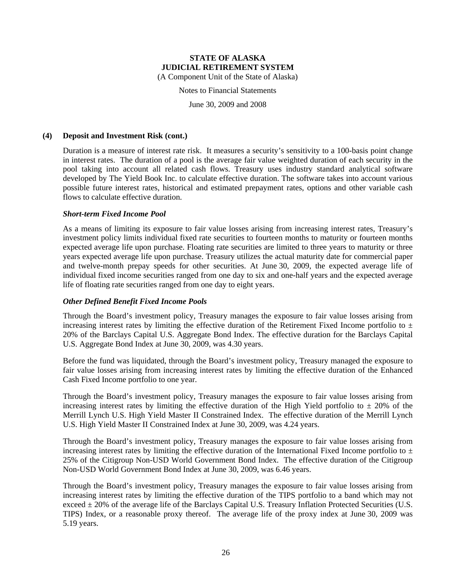(A Component Unit of the State of Alaska)

Notes to Financial Statements

June 30, 2009 and 2008

#### **(4) Deposit and Investment Risk (cont.)**

Duration is a measure of interest rate risk. It measures a security's sensitivity to a 100-basis point change in interest rates. The duration of a pool is the average fair value weighted duration of each security in the pool taking into account all related cash flows. Treasury uses industry standard analytical software developed by The Yield Book Inc. to calculate effective duration. The software takes into account various possible future interest rates, historical and estimated prepayment rates, options and other variable cash flows to calculate effective duration.

#### *Short-term Fixed Income Pool*

As a means of limiting its exposure to fair value losses arising from increasing interest rates, Treasury's investment policy limits individual fixed rate securities to fourteen months to maturity or fourteen months expected average life upon purchase. Floating rate securities are limited to three years to maturity or three years expected average life upon purchase. Treasury utilizes the actual maturity date for commercial paper and twelve-month prepay speeds for other securities. At June 30, 2009, the expected average life of individual fixed income securities ranged from one day to six and one-half years and the expected average life of floating rate securities ranged from one day to eight years.

#### *Other Defined Benefit Fixed Income Pools*

Through the Board's investment policy, Treasury manages the exposure to fair value losses arising from increasing interest rates by limiting the effective duration of the Retirement Fixed Income portfolio to  $\pm$ 20% of the Barclays Capital U.S. Aggregate Bond Index. The effective duration for the Barclays Capital U.S. Aggregate Bond Index at June 30, 2009, was 4.30 years.

Before the fund was liquidated, through the Board's investment policy, Treasury managed the exposure to fair value losses arising from increasing interest rates by limiting the effective duration of the Enhanced Cash Fixed Income portfolio to one year.

Through the Board's investment policy, Treasury manages the exposure to fair value losses arising from increasing interest rates by limiting the effective duration of the High Yield portfolio to  $\pm$  20% of the Merrill Lynch U.S. High Yield Master II Constrained Index. The effective duration of the Merrill Lynch U.S. High Yield Master II Constrained Index at June 30, 2009, was 4.24 years.

Through the Board's investment policy, Treasury manages the exposure to fair value losses arising from increasing interest rates by limiting the effective duration of the International Fixed Income portfolio to  $\pm$ 25% of the Citigroup Non-USD World Government Bond Index. The effective duration of the Citigroup Non-USD World Government Bond Index at June 30, 2009, was 6.46 years.

Through the Board's investment policy, Treasury manages the exposure to fair value losses arising from increasing interest rates by limiting the effective duration of the TIPS portfolio to a band which may not exceed  $\pm$  20% of the average life of the Barclays Capital U.S. Treasury Inflation Protected Securities (U.S. TIPS) Index, or a reasonable proxy thereof. The average life of the proxy index at June 30, 2009 was 5.19 years.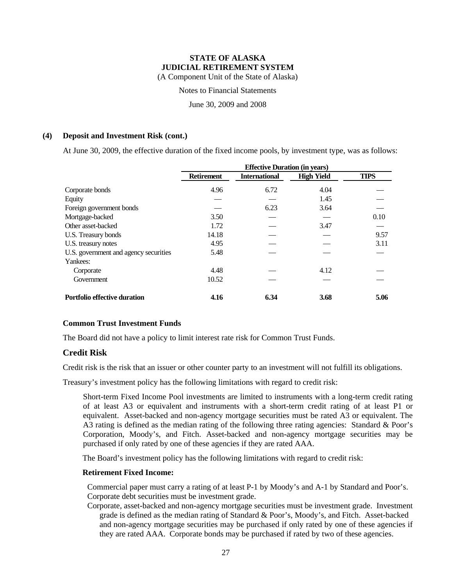Notes to Financial Statements

June 30, 2009 and 2008

#### **(4) Deposit and Investment Risk (cont.)**

At June 30, 2009, the effective duration of the fixed income pools, by investment type, was as follows:

|                                       | <b>Effective Duration (in years)</b> |                      |                   |             |  |  |
|---------------------------------------|--------------------------------------|----------------------|-------------------|-------------|--|--|
|                                       | <b>Retirement</b>                    | <b>International</b> | <b>High Yield</b> | <b>TIPS</b> |  |  |
| Corporate bonds                       | 4.96                                 | 6.72                 | 4.04              |             |  |  |
| Equity                                |                                      |                      | 1.45              |             |  |  |
| Foreign government bonds              |                                      | 6.23                 | 3.64              |             |  |  |
| Mortgage-backed                       | 3.50                                 |                      |                   | 0.10        |  |  |
| Other asset-backed                    | 1.72                                 |                      | 3.47              |             |  |  |
| U.S. Treasury bonds                   | 14.18                                |                      |                   | 9.57        |  |  |
| U.S. treasury notes                   | 4.95                                 |                      |                   | 3.11        |  |  |
| U.S. government and agency securities | 5.48                                 |                      |                   |             |  |  |
| Yankees:                              |                                      |                      |                   |             |  |  |
| Corporate                             | 4.48                                 |                      | 4.12              |             |  |  |
| Government                            | 10.52                                |                      |                   |             |  |  |
| <b>Portfolio effective duration</b>   | 4.16                                 | 6.34                 | 3.68              | 5.06        |  |  |

#### **Common Trust Investment Funds**

The Board did not have a policy to limit interest rate risk for Common Trust Funds.

#### **Credit Risk**

Credit risk is the risk that an issuer or other counter party to an investment will not fulfill its obligations.

Treasury's investment policy has the following limitations with regard to credit risk:

Short-term Fixed Income Pool investments are limited to instruments with a long-term credit rating of at least A3 or equivalent and instruments with a short-term credit rating of at least P1 or equivalent. Asset-backed and non-agency mortgage securities must be rated A3 or equivalent. The A3 rating is defined as the median rating of the following three rating agencies: Standard & Poor's Corporation, Moody's, and Fitch. Asset-backed and non-agency mortgage securities may be purchased if only rated by one of these agencies if they are rated AAA.

The Board's investment policy has the following limitations with regard to credit risk:

#### **Retirement Fixed Income:**

Commercial paper must carry a rating of at least P-1 by Moody's and A-1 by Standard and Poor's. Corporate debt securities must be investment grade.

Corporate, asset-backed and non-agency mortgage securities must be investment grade. Investment grade is defined as the median rating of Standard & Poor's, Moody's, and Fitch. Asset-backed and non-agency mortgage securities may be purchased if only rated by one of these agencies if they are rated AAA. Corporate bonds may be purchased if rated by two of these agencies.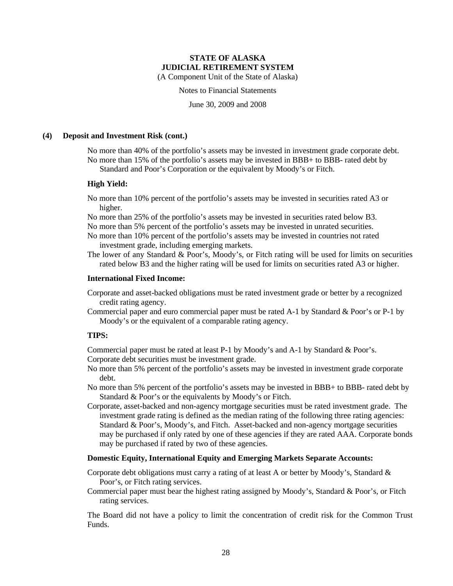(A Component Unit of the State of Alaska)

Notes to Financial Statements

June 30, 2009 and 2008

#### **(4) Deposit and Investment Risk (cont.)**

No more than 40% of the portfolio's assets may be invested in investment grade corporate debt. No more than 15% of the portfolio's assets may be invested in BBB+ to BBB- rated debt by Standard and Poor's Corporation or the equivalent by Moody's or Fitch.

#### **High Yield:**

- No more than 10% percent of the portfolio's assets may be invested in securities rated A3 or higher.
- No more than 25% of the portfolio's assets may be invested in securities rated below B3.

No more than 5% percent of the portfolio's assets may be invested in unrated securities.

- No more than 10% percent of the portfolio's assets may be invested in countries not rated investment grade, including emerging markets.
- The lower of any Standard & Poor's, Moody's, or Fitch rating will be used for limits on securities rated below B3 and the higher rating will be used for limits on securities rated A3 or higher.

#### **International Fixed Income:**

- Corporate and asset-backed obligations must be rated investment grade or better by a recognized credit rating agency.
- Commercial paper and euro commercial paper must be rated A-1 by Standard & Poor's or P-1 by Moody's or the equivalent of a comparable rating agency.

#### **TIPS:**

Commercial paper must be rated at least P-1 by Moody's and A-1 by Standard & Poor's. Corporate debt securities must be investment grade.

- No more than 5% percent of the portfolio's assets may be invested in investment grade corporate debt.
- No more than 5% percent of the portfolio's assets may be invested in BBB+ to BBB- rated debt by Standard & Poor's or the equivalents by Moody's or Fitch.
- Corporate, asset-backed and non-agency mortgage securities must be rated investment grade. The investment grade rating is defined as the median rating of the following three rating agencies: Standard & Poor's, Moody's, and Fitch. Asset-backed and non-agency mortgage securities may be purchased if only rated by one of these agencies if they are rated AAA. Corporate bonds may be purchased if rated by two of these agencies.

#### **Domestic Equity, International Equity and Emerging Markets Separate Accounts:**

Corporate debt obligations must carry a rating of at least A or better by Moody's, Standard & Poor's, or Fitch rating services.

Commercial paper must bear the highest rating assigned by Moody's, Standard & Poor's, or Fitch rating services.

The Board did not have a policy to limit the concentration of credit risk for the Common Trust Funds.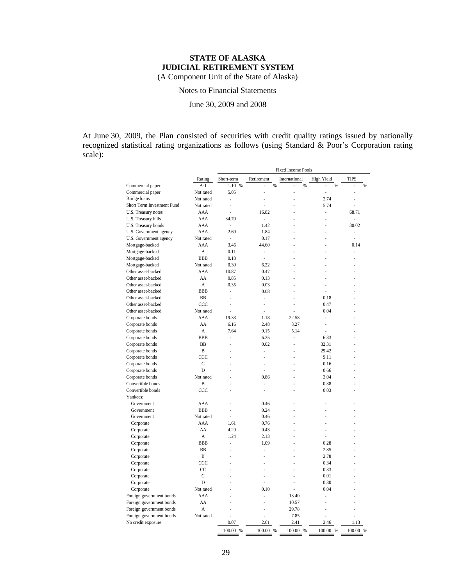Notes to Financial Statements

June 30, 2009 and 2008

At June 30, 2009, the Plan consisted of securities with credit quality ratings issued by nationally recognized statistical rating organizations as follows (using Standard & Poor's Corporation rating scale):

|                            |              | <b>Fixed Income Pools</b> |            |               |            |             |
|----------------------------|--------------|---------------------------|------------|---------------|------------|-------------|
|                            | Rating       | Short-term                | Retirement | International | High Yield | <b>TIPS</b> |
| Commercial paper           | $A-1$        | 1.10 %                    | %          | $\%$          | %          | %<br>L,     |
| Commercial paper           | Not rated    | 5.05                      |            |               |            |             |
| <b>Bridge</b> loans        | Not rated    | ä,                        |            |               | 2.74       |             |
| Short Term Investment Fund | Not rated    | L.                        |            |               | 5.74       | J.          |
| U.S. Treasury notes        | AAA          |                           | 16.82      |               | i,         | 68.71       |
| U.S. Treasury bills        | AAA          | 34.70                     | ä,         |               |            | ÷.          |
| U.S. Treasury bonds        | AAA          | $\overline{\phantom{a}}$  | 1.42       |               |            | 30.02       |
| U.S. Government agency     | AAA          | 2.69                      | 1.84       |               |            | ÷,          |
| U.S. Government agency     | Not rated    | ×.                        | 0.17       |               |            | ÷.          |
| Mortgage-backed            | AAA          | 3.46                      | 44.60      |               |            | 0.14        |
| Mortgage-backed            | A            | 0.11                      | ÷,         |               |            | ä,          |
| Mortgage-backed            | <b>BBB</b>   | 0.18                      | ÷.         |               |            |             |
| Mortgage-backed            | Not rated    | 0.30                      | 6.22       |               |            |             |
| Other asset-backed         | AAA          | 10.87                     | 0.47       |               |            |             |
| Other asset-backed         | AA           | 0.85                      | 0.13       |               |            |             |
| Other asset-backed         | A            | 0.35                      | 0.03       |               |            |             |
| Other asset-backed         | <b>BBB</b>   | ä,                        | 0.08       |               | ä,         |             |
| Other asset-backed         | BB           | í,                        | Ĭ.         |               | 0.18       |             |
| Other asset-backed         | CCC          | ä,                        | ×.         |               | 0.47       |             |
| Other asset-backed         | Not rated    | ä,                        | ÷.         |               | 0.04       |             |
| Corporate bonds            | AAA          | 19.33                     | 1.18       | 22.58         | ä,         |             |
| Corporate bonds            | AA           | 6.16                      | 2.48       | 8.27          | ä,         |             |
| Corporate bonds            | A            | 7.64                      | 9.15       | 5.14          | ź          |             |
| Corporate bonds            | <b>BBB</b>   | Ĭ.                        | 6.25       | L,            | 6.33       |             |
| Corporate bonds            | BB           | ä,                        | 0.02       | ä,            | 32.31      |             |
| Corporate bonds            | B            |                           | J.         |               | 29.42      |             |
| Corporate bonds            | CCC          |                           |            |               | 9.11       |             |
| Corporate bonds            | C            | ä,                        | ×.         |               | 0.16       |             |
| Corporate bonds            | D            |                           |            |               | 0.66       |             |
| Corporate bonds            | Not rated    |                           | 0.86       |               | 3.04       |             |
| Convertible bonds          | B            | ÷,                        | ä,         |               | 0.38       |             |
| Convertible bonds          | CCC          |                           |            |               | 0.03       |             |
| Yankees:                   |              |                           |            |               |            |             |
| Government                 | AAA          | ä,                        | 0.46       |               | ä,         |             |
| Government                 | <b>BBB</b>   |                           | 0.24       |               |            |             |
| Government                 | Not rated    | í.                        | 0.46       |               |            |             |
| Corporate                  | AAA          | 1.61                      | 0.76       |               |            |             |
| Corporate                  | AA           | 4.29                      | 0.43       |               | ä,         |             |
| Corporate                  | A            | 1.24                      | 2.13       |               | ä,         |             |
|                            | <b>BBB</b>   | L                         | 1.09       |               | 0.28       |             |
| Corporate                  | <b>BB</b>    | ä,                        |            |               | 2.85       |             |
| Corporate                  | B            |                           |            |               | 2.78       |             |
| Corporate                  | CCC          |                           |            |               | 0.34       |             |
| Corporate                  | CC           |                           |            |               |            |             |
| Corporate                  |              |                           |            |               | 0.33       |             |
| Corporate                  | $\mathsf{C}$ |                           |            |               | 0.01       |             |
| Corporate                  | D            |                           |            |               | 0.30       |             |
| Corporate                  | Not rated    |                           | 0.10       | ä,            | 0.04       |             |
| Foreign government bonds   | AAA          |                           |            | 13.40         |            |             |
| Foreign government bonds   | AA           |                           |            | 10.57         |            |             |
| Foreign government bonds   | A            |                           | ÷          | 29.78         | ä,         |             |
| Foreign government bonds   | Not rated    |                           |            | 7.85          |            |             |
| No credit exposure         |              | 0.07                      | 2.61       | 2.41          | 2.46       | 1.13        |
|                            |              | 100.00 %                  | 100.00 %   | 100.00 %      | 100.00 %   | 100.00 %    |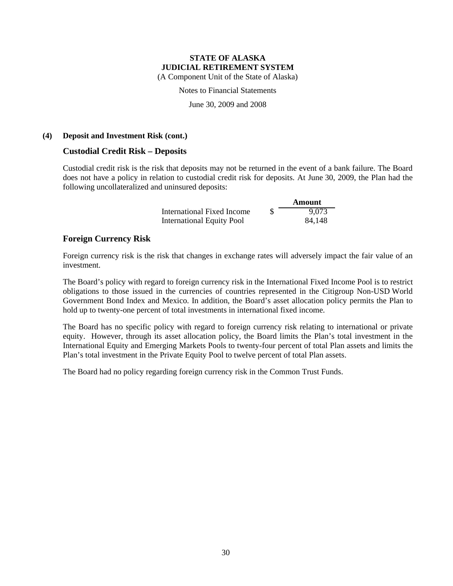(A Component Unit of the State of Alaska)

Notes to Financial Statements

June 30, 2009 and 2008

#### **(4) Deposit and Investment Risk (cont.)**

#### **Custodial Credit Risk – Deposits**

Custodial credit risk is the risk that deposits may not be returned in the event of a bank failure. The Board does not have a policy in relation to custodial credit risk for deposits. At June 30, 2009, the Plan had the following uncollateralized and uninsured deposits:

> **Amount** International Fixed Income \$ 9,073 International Equity Pool 84,148

#### **Foreign Currency Risk**

Foreign currency risk is the risk that changes in exchange rates will adversely impact the fair value of an investment.

The Board's policy with regard to foreign currency risk in the International Fixed Income Pool is to restrict obligations to those issued in the currencies of countries represented in the Citigroup Non-USD World Government Bond Index and Mexico. In addition, the Board's asset allocation policy permits the Plan to hold up to twenty-one percent of total investments in international fixed income.

The Board has no specific policy with regard to foreign currency risk relating to international or private equity. However, through its asset allocation policy, the Board limits the Plan's total investment in the International Equity and Emerging Markets Pools to twenty-four percent of total Plan assets and limits the Plan's total investment in the Private Equity Pool to twelve percent of total Plan assets.

The Board had no policy regarding foreign currency risk in the Common Trust Funds.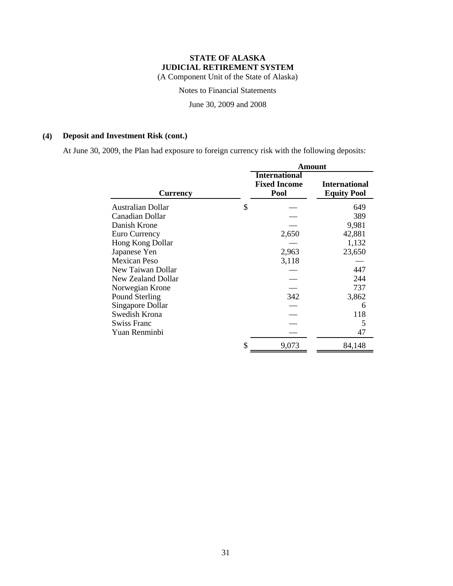Notes to Financial Statements

June 30, 2009 and 2008

### **(4) Deposit and Investment Risk (cont.)**

At June 30, 2009, the Plan had exposure to foreign currency risk with the following deposits:

|                          | Amount                                              |                                            |  |  |  |
|--------------------------|-----------------------------------------------------|--------------------------------------------|--|--|--|
| <b>Currency</b>          | <b>International</b><br><b>Fixed Income</b><br>Pool | <b>International</b><br><b>Equity Pool</b> |  |  |  |
| <b>Australian Dollar</b> | \$                                                  | 649                                        |  |  |  |
| Canadian Dollar          |                                                     | 389                                        |  |  |  |
| Danish Krone             |                                                     | 9,981                                      |  |  |  |
| Euro Currency            | 2,650                                               | 42,881                                     |  |  |  |
| Hong Kong Dollar         |                                                     | 1,132                                      |  |  |  |
| Japanese Yen             | 2,963                                               | 23,650                                     |  |  |  |
| Mexican Peso             | 3,118                                               |                                            |  |  |  |
| New Taiwan Dollar        |                                                     | 447                                        |  |  |  |
| New Zealand Dollar       |                                                     | 244                                        |  |  |  |
| Norwegian Krone          |                                                     | 737                                        |  |  |  |
| Pound Sterling           | 342                                                 | 3,862                                      |  |  |  |
| Singapore Dollar         |                                                     | 6                                          |  |  |  |
| Swedish Krona            |                                                     | 118                                        |  |  |  |
| <b>Swiss Franc</b>       |                                                     | 5                                          |  |  |  |
| Yuan Renminbi            |                                                     | 47                                         |  |  |  |
|                          | \$<br>9,073                                         | 84,148                                     |  |  |  |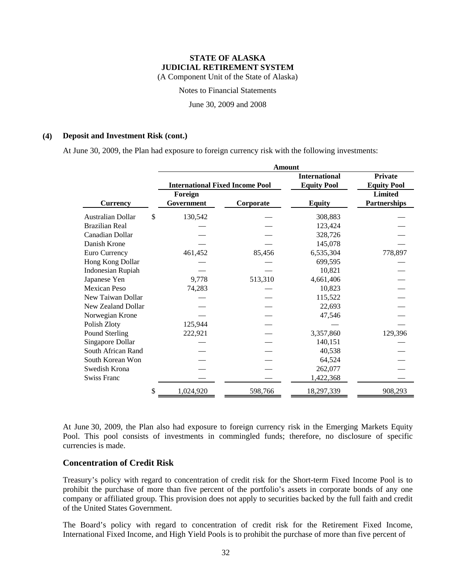Notes to Financial Statements

June 30, 2009 and 2008

#### **(4) Deposit and Investment Risk (cont.)**

At June 30, 2009, the Plan had exposure to foreign currency risk with the following investments:

|                          | <b>Amount</b>                          |           |                      |                     |  |  |  |
|--------------------------|----------------------------------------|-----------|----------------------|---------------------|--|--|--|
|                          |                                        |           | <b>International</b> | <b>Private</b>      |  |  |  |
|                          | <b>International Fixed Income Pool</b> |           | <b>Equity Pool</b>   | <b>Equity Pool</b>  |  |  |  |
|                          | Foreign                                |           |                      | <b>Limited</b>      |  |  |  |
| <b>Currency</b>          | Government                             | Corporate | <b>Equity</b>        | <b>Partnerships</b> |  |  |  |
| Australian Dollar        | \$<br>130,542                          |           | 308,883              |                     |  |  |  |
| <b>Brazilian Real</b>    |                                        |           | 123,424              |                     |  |  |  |
| Canadian Dollar          |                                        |           | 328,726              |                     |  |  |  |
| Danish Krone             |                                        |           | 145,078              |                     |  |  |  |
| Euro Currency            | 461,452                                | 85,456    | 6,535,304            | 778,897             |  |  |  |
| Hong Kong Dollar         |                                        |           | 699,595              |                     |  |  |  |
| <b>Indonesian Rupiah</b> |                                        |           | 10,821               |                     |  |  |  |
| Japanese Yen             | 9,778                                  | 513,310   | 4,661,406            |                     |  |  |  |
| Mexican Peso             | 74,283                                 |           | 10,823               |                     |  |  |  |
| New Taiwan Dollar        |                                        |           | 115,522              |                     |  |  |  |
| New Zealand Dollar       |                                        |           | 22,693               |                     |  |  |  |
| Norwegian Krone          |                                        |           | 47,546               |                     |  |  |  |
| Polish Zloty             | 125,944                                |           |                      |                     |  |  |  |
| Pound Sterling           | 222,921                                |           | 3,357,860            | 129,396             |  |  |  |
| Singapore Dollar         |                                        |           | 140,151              |                     |  |  |  |
| South African Rand       |                                        |           | 40,538               |                     |  |  |  |
| South Korean Won         |                                        |           | 64,524               |                     |  |  |  |
| Swedish Krona            |                                        |           | 262,077              |                     |  |  |  |
| <b>Swiss Franc</b>       |                                        |           | 1,422,368            |                     |  |  |  |
|                          | \$<br>1,024,920                        | 598,766   | 18,297,339           | 908,293             |  |  |  |

At June 30, 2009, the Plan also had exposure to foreign currency risk in the Emerging Markets Equity Pool. This pool consists of investments in commingled funds; therefore, no disclosure of specific currencies is made.

#### **Concentration of Credit Risk**

Treasury's policy with regard to concentration of credit risk for the Short-term Fixed Income Pool is to prohibit the purchase of more than five percent of the portfolio's assets in corporate bonds of any one company or affiliated group. This provision does not apply to securities backed by the full faith and credit of the United States Government.

The Board's policy with regard to concentration of credit risk for the Retirement Fixed Income, International Fixed Income, and High Yield Pools is to prohibit the purchase of more than five percent of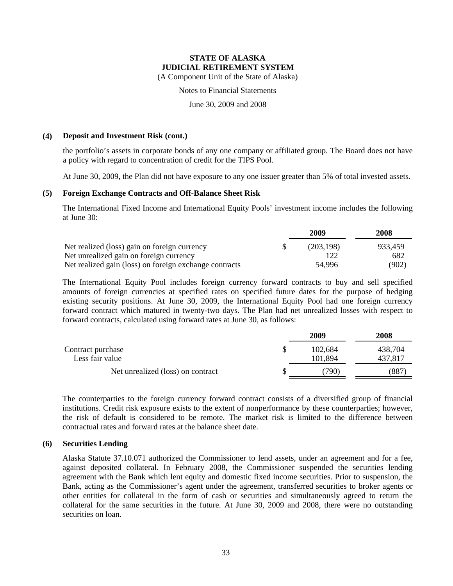(A Component Unit of the State of Alaska)

Notes to Financial Statements

June 30, 2009 and 2008

#### **(4) Deposit and Investment Risk (cont.)**

the portfolio's assets in corporate bonds of any one company or affiliated group. The Board does not have a policy with regard to concentration of credit for the TIPS Pool.

At June 30, 2009, the Plan did not have exposure to any one issuer greater than 5% of total invested assets.

#### **(5) Foreign Exchange Contracts and Off-Balance Sheet Risk**

The International Fixed Income and International Equity Pools' investment income includes the following at June 30:

|                                                        | 2009      | 2008    |
|--------------------------------------------------------|-----------|---------|
| Net realized (loss) gain on foreign currency           | (203.198) | 933,459 |
| Net unrealized gain on foreign currency                |           | 682     |
| Net realized gain (loss) on foreign exchange contracts | 54,996    | (902)   |

The International Equity Pool includes foreign currency forward contracts to buy and sell specified amounts of foreign currencies at specified rates on specified future dates for the purpose of hedging existing security positions. At June 30, 2009, the International Equity Pool had one foreign currency forward contract which matured in twenty-two days. The Plan had net unrealized losses with respect to forward contracts, calculated using forward rates at June 30, as follows:

|                                      | 2009               | 2008               |
|--------------------------------------|--------------------|--------------------|
| Contract purchase<br>Less fair value | 102.684<br>101.894 | 438,704<br>437.817 |
| Net unrealized (loss) on contract    | 790)               | (887               |

The counterparties to the foreign currency forward contract consists of a diversified group of financial institutions. Credit risk exposure exists to the extent of nonperformance by these counterparties; however, the risk of default is considered to be remote. The market risk is limited to the difference between contractual rates and forward rates at the balance sheet date.

#### **(6) Securities Lending**

Alaska Statute 37.10.071 authorized the Commissioner to lend assets, under an agreement and for a fee, against deposited collateral. In February 2008, the Commissioner suspended the securities lending agreement with the Bank which lent equity and domestic fixed income securities. Prior to suspension, the Bank, acting as the Commissioner's agent under the agreement, transferred securities to broker agents or other entities for collateral in the form of cash or securities and simultaneously agreed to return the collateral for the same securities in the future. At June 30, 2009 and 2008, there were no outstanding securities on loan.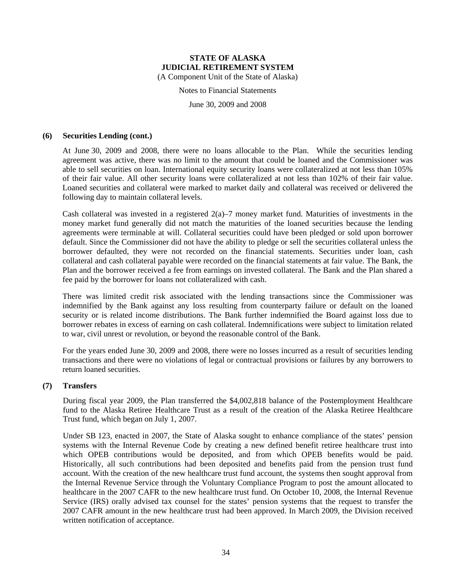Notes to Financial Statements

June 30, 2009 and 2008

#### **(6) Securities Lending (cont.)**

At June 30, 2009 and 2008, there were no loans allocable to the Plan. While the securities lending agreement was active, there was no limit to the amount that could be loaned and the Commissioner was able to sell securities on loan. International equity security loans were collateralized at not less than 105% of their fair value. All other security loans were collateralized at not less than 102% of their fair value. Loaned securities and collateral were marked to market daily and collateral was received or delivered the following day to maintain collateral levels.

Cash collateral was invested in a registered  $2(a)$ –7 money market fund. Maturities of investments in the money market fund generally did not match the maturities of the loaned securities because the lending agreements were terminable at will. Collateral securities could have been pledged or sold upon borrower default. Since the Commissioner did not have the ability to pledge or sell the securities collateral unless the borrower defaulted, they were not recorded on the financial statements. Securities under loan, cash collateral and cash collateral payable were recorded on the financial statements at fair value. The Bank, the Plan and the borrower received a fee from earnings on invested collateral. The Bank and the Plan shared a fee paid by the borrower for loans not collateralized with cash.

There was limited credit risk associated with the lending transactions since the Commissioner was indemnified by the Bank against any loss resulting from counterparty failure or default on the loaned security or is related income distributions. The Bank further indemnified the Board against loss due to borrower rebates in excess of earning on cash collateral. Indemnifications were subject to limitation related to war, civil unrest or revolution, or beyond the reasonable control of the Bank.

For the years ended June 30, 2009 and 2008, there were no losses incurred as a result of securities lending transactions and there were no violations of legal or contractual provisions or failures by any borrowers to return loaned securities.

#### **(7) Transfers**

During fiscal year 2009, the Plan transferred the \$4,002,818 balance of the Postemployment Healthcare fund to the Alaska Retiree Healthcare Trust as a result of the creation of the Alaska Retiree Healthcare Trust fund, which began on July 1, 2007.

Under SB 123, enacted in 2007, the State of Alaska sought to enhance compliance of the states' pension systems with the Internal Revenue Code by creating a new defined benefit retiree healthcare trust into which OPEB contributions would be deposited, and from which OPEB benefits would be paid. Historically, all such contributions had been deposited and benefits paid from the pension trust fund account. With the creation of the new healthcare trust fund account, the systems then sought approval from the Internal Revenue Service through the Voluntary Compliance Program to post the amount allocated to healthcare in the 2007 CAFR to the new healthcare trust fund. On October 10, 2008, the Internal Revenue Service (IRS) orally advised tax counsel for the states' pension systems that the request to transfer the 2007 CAFR amount in the new healthcare trust had been approved. In March 2009, the Division received written notification of acceptance.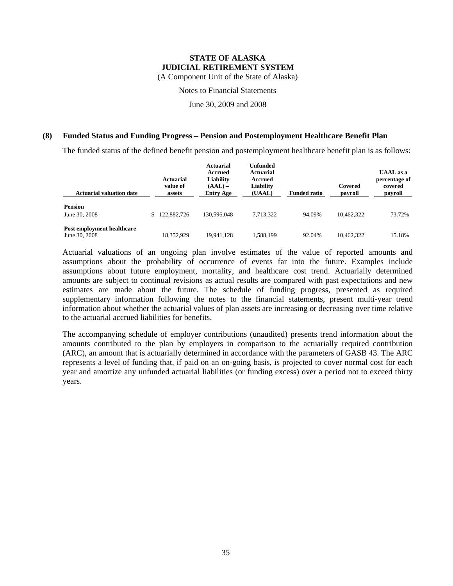(A Component Unit of the State of Alaska)

Notes to Financial Statements

June 30, 2009 and 2008

#### **(8) Funded Status and Funding Progress – Pension and Postemployment Healthcare Benefit Plan**

The funded status of the defined benefit pension and postemployment healthcare benefit plan is as follows:

| <b>Actuarial valuation date</b>             |    | <b>Actuarial</b><br>value of<br>assets | <b>Actuarial</b><br>Accrued<br>Liability<br>$(AAL)$ –<br><b>Entry Age</b> | <b>Unfunded</b><br>Actuarial<br>Accrued<br>Liability<br>(UAAL) | <b>Funded ratio</b> | Covered<br>payroll | <b>UAAL</b> as a<br>percentage of<br>covered<br>payroll |
|---------------------------------------------|----|----------------------------------------|---------------------------------------------------------------------------|----------------------------------------------------------------|---------------------|--------------------|---------------------------------------------------------|
| <b>Pension</b><br>June 30, 2008             | S. | 122,882,726                            | 130,596,048                                                               | 7.713.322                                                      | 94.09%              | 10.462,322         | 73.72%                                                  |
| Post employment healthcare<br>June 30, 2008 |    | 18.352.929                             | 19.941.128                                                                | 1.588.199                                                      | 92.04%              | 10.462.322         | 15.18%                                                  |

Actuarial valuations of an ongoing plan involve estimates of the value of reported amounts and assumptions about the probability of occurrence of events far into the future. Examples include assumptions about future employment, mortality, and healthcare cost trend. Actuarially determined amounts are subject to continual revisions as actual results are compared with past expectations and new estimates are made about the future. The schedule of funding progress, presented as required supplementary information following the notes to the financial statements, present multi-year trend information about whether the actuarial values of plan assets are increasing or decreasing over time relative to the actuarial accrued liabilities for benefits.

The accompanying schedule of employer contributions (unaudited) presents trend information about the amounts contributed to the plan by employers in comparison to the actuarially required contribution (ARC), an amount that is actuarially determined in accordance with the parameters of GASB 43. The ARC represents a level of funding that, if paid on an on-going basis, is projected to cover normal cost for each year and amortize any unfunded actuarial liabilities (or funding excess) over a period not to exceed thirty years.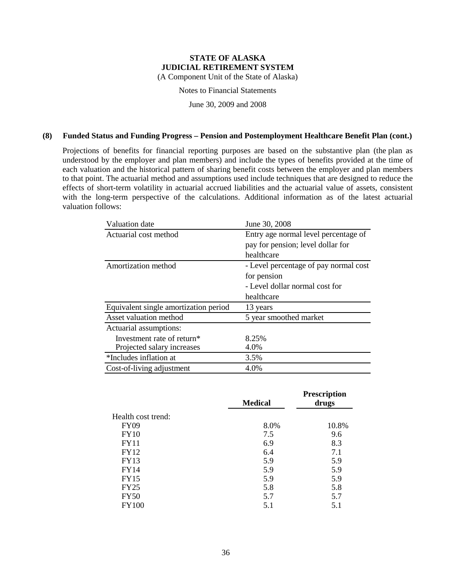(A Component Unit of the State of Alaska)

Notes to Financial Statements

June 30, 2009 and 2008

#### **(8) Funded Status and Funding Progress – Pension and Postemployment Healthcare Benefit Plan (cont.)**

Projections of benefits for financial reporting purposes are based on the substantive plan (the plan as understood by the employer and plan members) and include the types of benefits provided at the time of each valuation and the historical pattern of sharing benefit costs between the employer and plan members to that point. The actuarial method and assumptions used include techniques that are designed to reduce the effects of short-term volatility in actuarial accrued liabilities and the actuarial value of assets, consistent with the long-term perspective of the calculations. Additional information as of the latest actuarial valuation follows:

| Valuation date                         | June 30, 2008                         |
|----------------------------------------|---------------------------------------|
| Actuarial cost method                  | Entry age normal level percentage of  |
|                                        | pay for pension; level dollar for     |
|                                        | healthcare                            |
| Amortization method                    | - Level percentage of pay normal cost |
|                                        | for pension                           |
|                                        | - Level dollar normal cost for        |
|                                        | healthcare                            |
| Equivalent single amortization period  | 13 years                              |
| Asset valuation method                 | 5 year smoothed market                |
| Actuarial assumptions:                 |                                       |
| Investment rate of return <sup>*</sup> | 8.25%                                 |
| Projected salary increases             | 4.0%                                  |
| *Includes inflation at                 | 3.5%                                  |
| Cost-of-living adjustment              | 4.0%                                  |

|                    | <b>Medical</b> | <b>Prescription</b><br>drugs |
|--------------------|----------------|------------------------------|
| Health cost trend: |                |                              |
| <b>FY09</b>        | 8.0%           | 10.8%                        |
| <b>FY10</b>        | 7.5            | 9.6                          |
| <b>FY11</b>        | 6.9            | 8.3                          |
| <b>FY12</b>        | 6.4            | 7.1                          |
| <b>FY13</b>        | 5.9            | 5.9                          |
| <b>FY14</b>        | 5.9            | 5.9                          |
| <b>FY15</b>        | 5.9            | 5.9                          |
| FY25               | 5.8            | 5.8                          |
| <b>FY50</b>        | 5.7            | 5.7                          |
| <b>FY100</b>       | 5.1            | 5.1                          |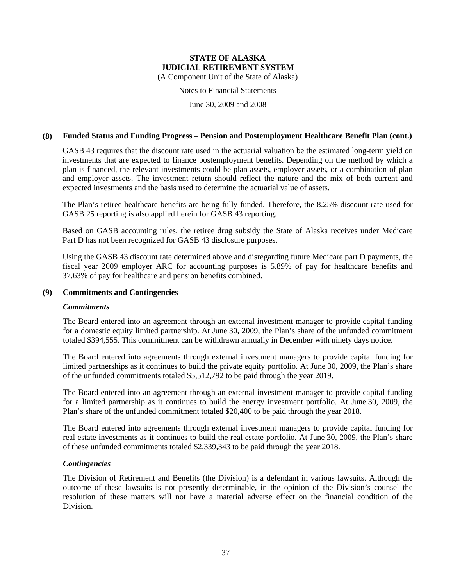(A Component Unit of the State of Alaska)

Notes to Financial Statements

June 30, 2009 and 2008

#### **(8) Funded Status and Funding Progress – Pension and Postemployment Healthcare Benefit Plan (cont.)**

GASB 43 requires that the discount rate used in the actuarial valuation be the estimated long-term yield on investments that are expected to finance postemployment benefits. Depending on the method by which a plan is financed, the relevant investments could be plan assets, employer assets, or a combination of plan and employer assets. The investment return should reflect the nature and the mix of both current and expected investments and the basis used to determine the actuarial value of assets.

The Plan's retiree healthcare benefits are being fully funded. Therefore, the 8.25% discount rate used for GASB 25 reporting is also applied herein for GASB 43 reporting.

Based on GASB accounting rules, the retiree drug subsidy the State of Alaska receives under Medicare Part D has not been recognized for GASB 43 disclosure purposes.

Using the GASB 43 discount rate determined above and disregarding future Medicare part D payments, the fiscal year 2009 employer ARC for accounting purposes is 5.89% of pay for healthcare benefits and 37.63% of pay for healthcare and pension benefits combined.

#### **(9) Commitments and Contingencies**

#### *Commitments*

The Board entered into an agreement through an external investment manager to provide capital funding for a domestic equity limited partnership. At June 30, 2009, the Plan's share of the unfunded commitment totaled \$394,555. This commitment can be withdrawn annually in December with ninety days notice.

The Board entered into agreements through external investment managers to provide capital funding for limited partnerships as it continues to build the private equity portfolio. At June 30, 2009, the Plan's share of the unfunded commitments totaled \$5,512,792 to be paid through the year 2019.

The Board entered into an agreement through an external investment manager to provide capital funding for a limited partnership as it continues to build the energy investment portfolio. At June 30, 2009, the Plan's share of the unfunded commitment totaled \$20,400 to be paid through the year 2018.

The Board entered into agreements through external investment managers to provide capital funding for real estate investments as it continues to build the real estate portfolio. At June 30, 2009, the Plan's share of these unfunded commitments totaled \$2,339,343 to be paid through the year 2018.

#### *Contingencies*

The Division of Retirement and Benefits (the Division) is a defendant in various lawsuits. Although the outcome of these lawsuits is not presently determinable, in the opinion of the Division's counsel the resolution of these matters will not have a material adverse effect on the financial condition of the Division.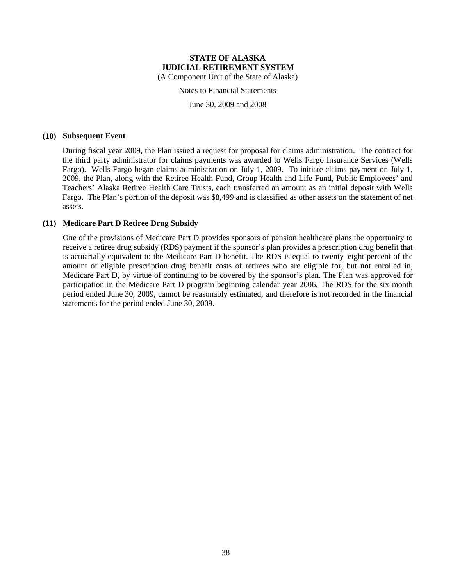Notes to Financial Statements

June 30, 2009 and 2008

#### **(10) Subsequent Event**

During fiscal year 2009, the Plan issued a request for proposal for claims administration. The contract for the third party administrator for claims payments was awarded to Wells Fargo Insurance Services (Wells Fargo). Wells Fargo began claims administration on July 1, 2009. To initiate claims payment on July 1, 2009, the Plan, along with the Retiree Health Fund, Group Health and Life Fund, Public Employees' and Teachers' Alaska Retiree Health Care Trusts, each transferred an amount as an initial deposit with Wells Fargo. The Plan's portion of the deposit was \$8,499 and is classified as other assets on the statement of net assets.

#### **(11) Medicare Part D Retiree Drug Subsidy**

One of the provisions of Medicare Part D provides sponsors of pension healthcare plans the opportunity to receive a retiree drug subsidy (RDS) payment if the sponsor's plan provides a prescription drug benefit that is actuarially equivalent to the Medicare Part D benefit. The RDS is equal to twenty–eight percent of the amount of eligible prescription drug benefit costs of retirees who are eligible for, but not enrolled in, Medicare Part D, by virtue of continuing to be covered by the sponsor's plan. The Plan was approved for participation in the Medicare Part D program beginning calendar year 2006. The RDS for the six month period ended June 30, 2009, cannot be reasonably estimated, and therefore is not recorded in the financial statements for the period ended June 30, 2009.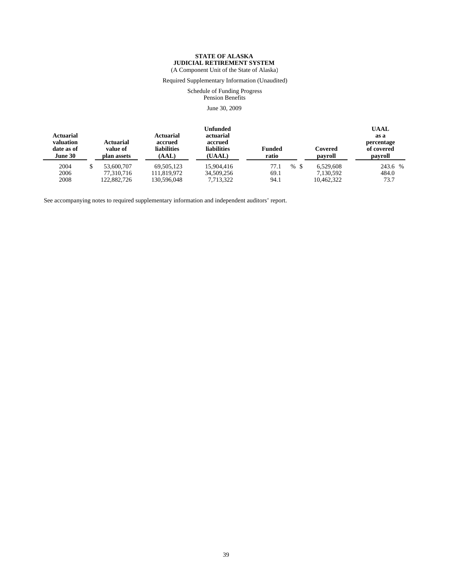(A Component Unit of the State of Alaska)

Required Supplementary Information (Unaudited)

#### Schedule of Funding Progress Pension Benefits

June 30, 2009

| <b>Actuarial</b><br>valuation<br>date as of<br>June 30 | <b>Actuarial</b><br>value of<br>plan assets | <b>Actuarial</b><br>accrued<br><b>liabilities</b><br>(AAL) | <b>Unfunded</b><br>actuarial<br>accrued<br><b>liabilities</b><br>(UAAL) | <b>Funded</b><br>ratio | Covered<br>payroll | <b>UAAL</b><br>as a<br>percentage<br>of covered<br>payroll |
|--------------------------------------------------------|---------------------------------------------|------------------------------------------------------------|-------------------------------------------------------------------------|------------------------|--------------------|------------------------------------------------------------|
| 2004                                                   | 53,600,707                                  | 69.505.123                                                 | 15,904,416                                                              | 77.1<br>%S             | 6.529.608          | 243.6 %                                                    |
| 2006                                                   | 77.310.716                                  | 111.819.972                                                | 34,509,256                                                              | 69.1                   | 7,130,592          | 484.0                                                      |
| 2008                                                   | 122,882,726                                 | 130,596,048                                                | 7,713,322                                                               | 94.1                   | 10,462,322         | 73.7                                                       |

See accompanying notes to required supplementary information and independent auditors' report.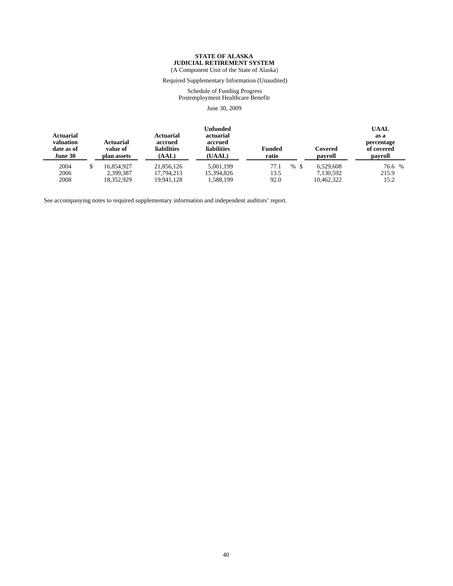(A Component Unit of the State of Alaska)

Required Supplementary Information (Unaudited)

Schedule of Funding Progress Postemployment Healthcare Benefits June 30, 2009

| <b>Actuarial</b><br>valuation<br>date as of<br>June 30 | <b>Actuarial</b><br>value of<br>plan assets | Unfunded<br>actuarial<br><b>Actuarial</b><br>accrued<br>accrued<br><b>liabilities</b><br><b>liabilities</b><br>(AAL)<br>(UAAL) |            | <b>Funded</b><br>ratio | Covered<br>payroll | <b>UAAL</b><br>as a<br>percentage<br>of covered<br>payroll |
|--------------------------------------------------------|---------------------------------------------|--------------------------------------------------------------------------------------------------------------------------------|------------|------------------------|--------------------|------------------------------------------------------------|
| 2004                                                   | 16.854.927                                  | 21.856.126                                                                                                                     | 5.001.199  | 77.1<br>$\%$<br>-\$    | 6.529.608          | 76.6 %                                                     |
| 2006                                                   | 2,399,387                                   | 17.794.213                                                                                                                     | 15,394,826 | 13.5                   | 7.130.592          | 215.9                                                      |
| 2008                                                   | 18,352,929                                  | 19.941.128                                                                                                                     | 1,588,199  | 92.0                   | 10,462,322         | 15.2                                                       |

See accompanying notes to required supplementary information and independent auditors' report.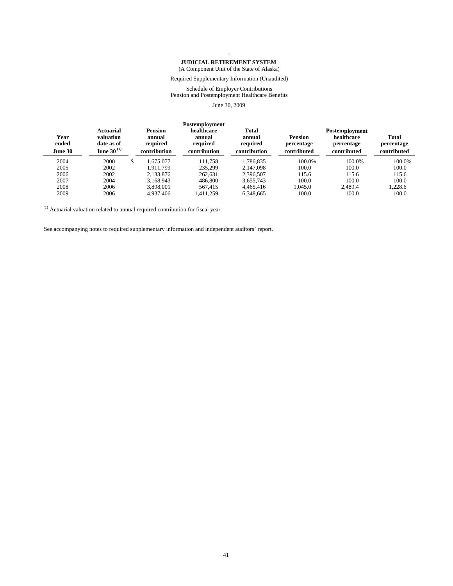#### **` JUDICIAL RETIREMENT SYSTEM**

#### (A Component Unit of the State of Alaska)

#### Required Supplementary Information (Unaudited)

#### Schedule of Employer Contributions Pension and Postemployment Healthcare Benefits

June 30, 2009

| Year<br>ended<br><b>June 30</b> | Actuarial<br>valuation<br>date as of<br>June 30 $^{(1)}$ |    | <b>Pension</b><br>annual<br>required<br>contribution | Postemployment<br>healthcare<br>annual<br>required<br>contribution | <b>Total</b><br>annual<br>required<br>contribution | <b>Pension</b><br>percentage<br>contributed | Postemployment<br>healthcare<br>percentage<br>contributed | <b>Total</b><br>percentage<br>contributed |
|---------------------------------|----------------------------------------------------------|----|------------------------------------------------------|--------------------------------------------------------------------|----------------------------------------------------|---------------------------------------------|-----------------------------------------------------------|-------------------------------------------|
| 2004                            | 2000                                                     | S. | .675.077                                             | 111.758                                                            | 1.786.835                                          | 100.0%                                      | 100.0%                                                    | 100.0%                                    |
| 2005                            | 2002                                                     |    | 1.911.799                                            | 235.299                                                            | 2.147.098                                          | 100.0                                       | 100.0                                                     | 100.0                                     |
| 2006                            | 2002                                                     |    | 2,133,876                                            | 262.631                                                            | 2,396,507                                          | 115.6                                       | 115.6                                                     | 115.6                                     |
| 2007                            | 2004                                                     |    | 3.168.943                                            | 486,800                                                            | 3,655,743                                          | 100.0                                       | 100.0                                                     | 100.0                                     |
| 2008                            | 2006                                                     |    | 3.898.001                                            | 567.415                                                            | 4.465.416                                          | 1.045.0                                     | 2.489.4                                                   | 1.228.6                                   |
| 2009                            | 2006                                                     |    | 4.937.406                                            | .411.259                                                           | 6,348,665                                          | 100.0                                       | 100.0                                                     | 100.0                                     |

 $(1)$  Actuarial valuation related to annual required contribution for fiscal year.

See accompanying notes to required supplementary information and independent auditors' report.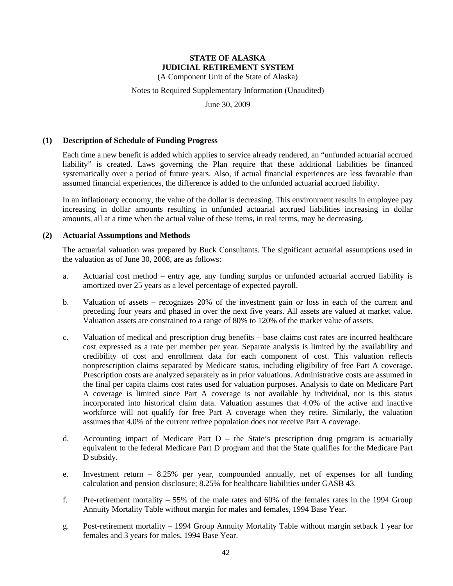(A Component Unit of the State of Alaska)

#### Notes to Required Supplementary Information (Unaudited)

June 30, 2009

#### **(1) Description of Schedule of Funding Progress**

Each time a new benefit is added which applies to service already rendered, an "unfunded actuarial accrued liability" is created. Laws governing the Plan require that these additional liabilities be financed systematically over a period of future years. Also, if actual financial experiences are less favorable than assumed financial experiences, the difference is added to the unfunded actuarial accrued liability.

In an inflationary economy, the value of the dollar is decreasing. This environment results in employee pay increasing in dollar amounts resulting in unfunded actuarial accrued liabilities increasing in dollar amounts, all at a time when the actual value of these items, in real terms, may be decreasing.

#### **(2) Actuarial Assumptions and Methods**

The actuarial valuation was prepared by Buck Consultants. The significant actuarial assumptions used in the valuation as of June 30, 2008, are as follows:

- a. Actuarial cost method entry age, any funding surplus or unfunded actuarial accrued liability is amortized over 25 years as a level percentage of expected payroll.
- b. Valuation of assets recognizes 20% of the investment gain or loss in each of the current and preceding four years and phased in over the next five years. All assets are valued at market value. Valuation assets are constrained to a range of 80% to 120% of the market value of assets.
- c. Valuation of medical and prescription drug benefits base claims cost rates are incurred healthcare cost expressed as a rate per member per year. Separate analysis is limited by the availability and credibility of cost and enrollment data for each component of cost. This valuation reflects nonprescription claims separated by Medicare status, including eligibility of free Part A coverage. Prescription costs are analyzed separately as in prior valuations. Administrative costs are assumed in the final per capita claims cost rates used for valuation purposes. Analysis to date on Medicare Part A coverage is limited since Part A coverage is not available by individual, nor is this status incorporated into historical claim data. Valuation assumes that 4.0% of the active and inactive workforce will not qualify for free Part A coverage when they retire. Similarly, the valuation assumes that 4.0% of the current retiree population does not receive Part A coverage.
- d. Accounting impact of Medicare Part D the State's prescription drug program is actuarially equivalent to the federal Medicare Part D program and that the State qualifies for the Medicare Part D subsidy.
- e. Investment return 8.25% per year, compounded annually, net of expenses for all funding calculation and pension disclosure; 8.25% for healthcare liabilities under GASB 43.
- f. Pre-retirement mortality 55% of the male rates and 60% of the females rates in the 1994 Group Annuity Mortality Table without margin for males and females, 1994 Base Year.
- g. Post-retirement mortality 1994 Group Annuity Mortality Table without margin setback 1 year for females and 3 years for males, 1994 Base Year.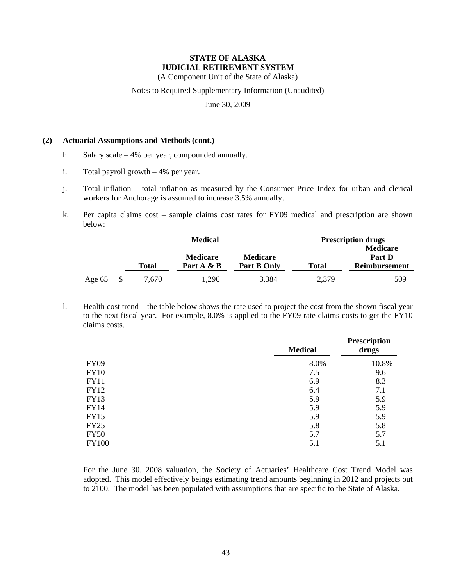(A Component Unit of the State of Alaska)

Notes to Required Supplementary Information (Unaudited)

June 30, 2009

#### **(2) Actuarial Assumptions and Methods (cont.)**

- h. Salary scale 4% per year, compounded annually.
- i. Total payroll growth 4% per year.
- j. Total inflation total inflation as measured by the Consumer Price Index for urban and clerical workers for Anchorage is assumed to increase 3.5% annually.
- k. Per capita claims cost sample claims cost rates for FY09 medical and prescription are shown below:

|          |       | Medical                       | <b>Prescription drugs</b>      |              |                                |
|----------|-------|-------------------------------|--------------------------------|--------------|--------------------------------|
|          |       |                               |                                |              | <b>Medicare</b>                |
|          | Total | <b>Medicare</b><br>Part A & B | <b>Medicare</b><br>Part B Only | <b>Total</b> | Part D<br><b>Reimbursement</b> |
| Age $65$ | 7,670 | 1.296                         | 3.384                          | 2.379        | 509                            |

l. Health cost trend – the table below shows the rate used to project the cost from the shown fiscal year to the next fiscal year. For example, 8.0% is applied to the FY09 rate claims costs to get the FY10 claims costs.

|              | <b>Medical</b> | <b>Prescription</b><br>drugs |  |
|--------------|----------------|------------------------------|--|
| <b>FY09</b>  | 8.0%           | 10.8%                        |  |
| <b>FY10</b>  | 7.5            | 9.6                          |  |
| <b>FY11</b>  | 6.9            | 8.3                          |  |
| <b>FY12</b>  | 6.4            | 7.1                          |  |
| <b>FY13</b>  | 5.9            | 5.9                          |  |
| <b>FY14</b>  | 5.9            | 5.9                          |  |
| <b>FY15</b>  | 5.9            | 5.9                          |  |
| <b>FY25</b>  | 5.8            | 5.8                          |  |
| <b>FY50</b>  | 5.7            | 5.7                          |  |
| <b>FY100</b> | 5.1            | 5.1                          |  |

For the June 30, 2008 valuation, the Society of Actuaries' Healthcare Cost Trend Model was adopted. This model effectively beings estimating trend amounts beginning in 2012 and projects out to 2100. The model has been populated with assumptions that are specific to the State of Alaska.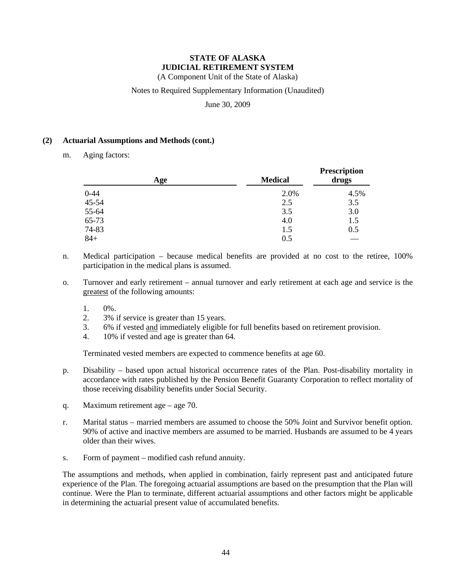(A Component Unit of the State of Alaska)

#### Notes to Required Supplementary Information (Unaudited)

June 30, 2009

#### **(2) Actuarial Assumptions and Methods (cont.)**

m. Aging factors:

| Age      | <b>Medical</b> | <b>Prescription</b><br>drugs |
|----------|----------------|------------------------------|
| $0 - 44$ | 2.0%           | 4.5%                         |
| 45-54    | 2.5            | 3.5                          |
| 55-64    | 3.5            | 3.0                          |
| 65-73    | 4.0            | 1.5                          |
| 74-83    | 1.5            | 0.5                          |
| $84+$    | 0.5            |                              |

- n. Medical participation because medical benefits are provided at no cost to the retiree, 100% participation in the medical plans is assumed.
- o. Turnover and early retirement annual turnover and early retirement at each age and service is the greatest of the following amounts:
	- 1. 0%.
	- 2. 3% if service is greater than 15 years.
	- 3. 6% if vested and immediately eligible for full benefits based on retirement provision.
	- 4. 10% if vested and age is greater than 64.

Terminated vested members are expected to commence benefits at age 60.

- p. Disability based upon actual historical occurrence rates of the Plan. Post-disability mortality in accordance with rates published by the Pension Benefit Guaranty Corporation to reflect mortality of those receiving disability benefits under Social Security.
- q. Maximum retirement age age 70.
- r. Marital status married members are assumed to choose the 50% Joint and Survivor benefit option. 90% of active and inactive members are assumed to be married. Husbands are assumed to be 4 years older than their wives.
- s. Form of payment modified cash refund annuity.

The assumptions and methods, when applied in combination, fairly represent past and anticipated future experience of the Plan. The foregoing actuarial assumptions are based on the presumption that the Plan will continue. Were the Plan to terminate, different actuarial assumptions and other factors might be applicable in determining the actuarial present value of accumulated benefits.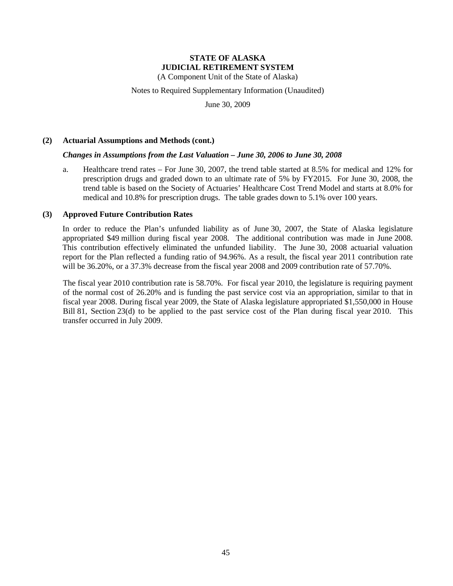(A Component Unit of the State of Alaska)

Notes to Required Supplementary Information (Unaudited)

June 30, 2009

#### **(2) Actuarial Assumptions and Methods (cont.)**

#### *Changes in Assumptions from the Last Valuation – June 30, 2006 to June 30, 2008*

a. Healthcare trend rates – For June 30, 2007, the trend table started at 8.5% for medical and 12% for prescription drugs and graded down to an ultimate rate of 5% by FY2015. For June 30, 2008, the trend table is based on the Society of Actuaries' Healthcare Cost Trend Model and starts at 8.0% for medical and 10.8% for prescription drugs. The table grades down to 5.1% over 100 years.

#### **(3) Approved Future Contribution Rates**

In order to reduce the Plan's unfunded liability as of June 30, 2007, the State of Alaska legislature appropriated \$49 million during fiscal year 2008. The additional contribution was made in June 2008. This contribution effectively eliminated the unfunded liability. The June 30, 2008 actuarial valuation report for the Plan reflected a funding ratio of 94.96%. As a result, the fiscal year 2011 contribution rate will be 36.20%, or a 37.3% decrease from the fiscal year 2008 and 2009 contribution rate of 57.70%.

The fiscal year 2010 contribution rate is 58.70%. For fiscal year 2010, the legislature is requiring payment of the normal cost of 26.20% and is funding the past service cost via an appropriation, similar to that in fiscal year 2008. During fiscal year 2009, the State of Alaska legislature appropriated \$1,550,000 in House Bill 81, Section 23(d) to be applied to the past service cost of the Plan during fiscal year 2010. This transfer occurred in July 2009.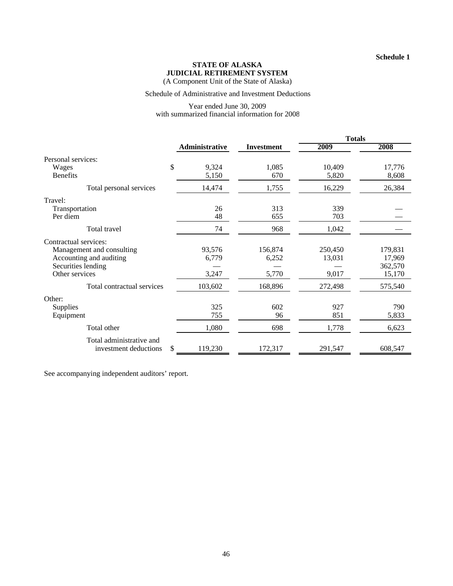(A Component Unit of the State of Alaska)

#### Schedule of Administrative and Investment Deductions

#### Year ended June 30, 2009 with summarized financial information for 2008

|                                                                                                                       |                          |                           | <b>Totals</b>              |                                        |  |
|-----------------------------------------------------------------------------------------------------------------------|--------------------------|---------------------------|----------------------------|----------------------------------------|--|
|                                                                                                                       | <b>Administrative</b>    | <b>Investment</b>         | 2009                       | 2008                                   |  |
| Personal services:                                                                                                    |                          |                           |                            |                                        |  |
| \$<br>Wages<br><b>Benefits</b>                                                                                        | 9,324<br>5,150           | 1,085<br>670              | 10,409<br>5,820            | 17,776<br>8,608                        |  |
| Total personal services                                                                                               | 14,474                   | 1,755                     | 16,229                     | 26,384                                 |  |
| Travel:<br>Transportation<br>Per diem                                                                                 | 26<br>48                 | 313<br>655                | 339<br>703                 |                                        |  |
| Total travel                                                                                                          | 74                       | 968                       | 1,042                      |                                        |  |
| Contractual services:<br>Management and consulting<br>Accounting and auditing<br>Securities lending<br>Other services | 93,576<br>6,779<br>3,247 | 156,874<br>6,252<br>5,770 | 250,450<br>13,031<br>9,017 | 179,831<br>17,969<br>362,570<br>15,170 |  |
| Total contractual services                                                                                            | 103,602                  | 168,896                   | 272,498                    | 575,540                                |  |
| Other:<br><b>Supplies</b><br>Equipment                                                                                | 325<br>755               | 602<br>96                 | 927<br>851                 | 790<br>5,833                           |  |
| Total other                                                                                                           | 1,080                    | 698                       | 1,778                      | 6,623                                  |  |
| Total administrative and<br>\$<br>investment deductions                                                               | 119,230                  | 172,317                   | 291,547                    | 608,547                                |  |

See accompanying independent auditors' report.